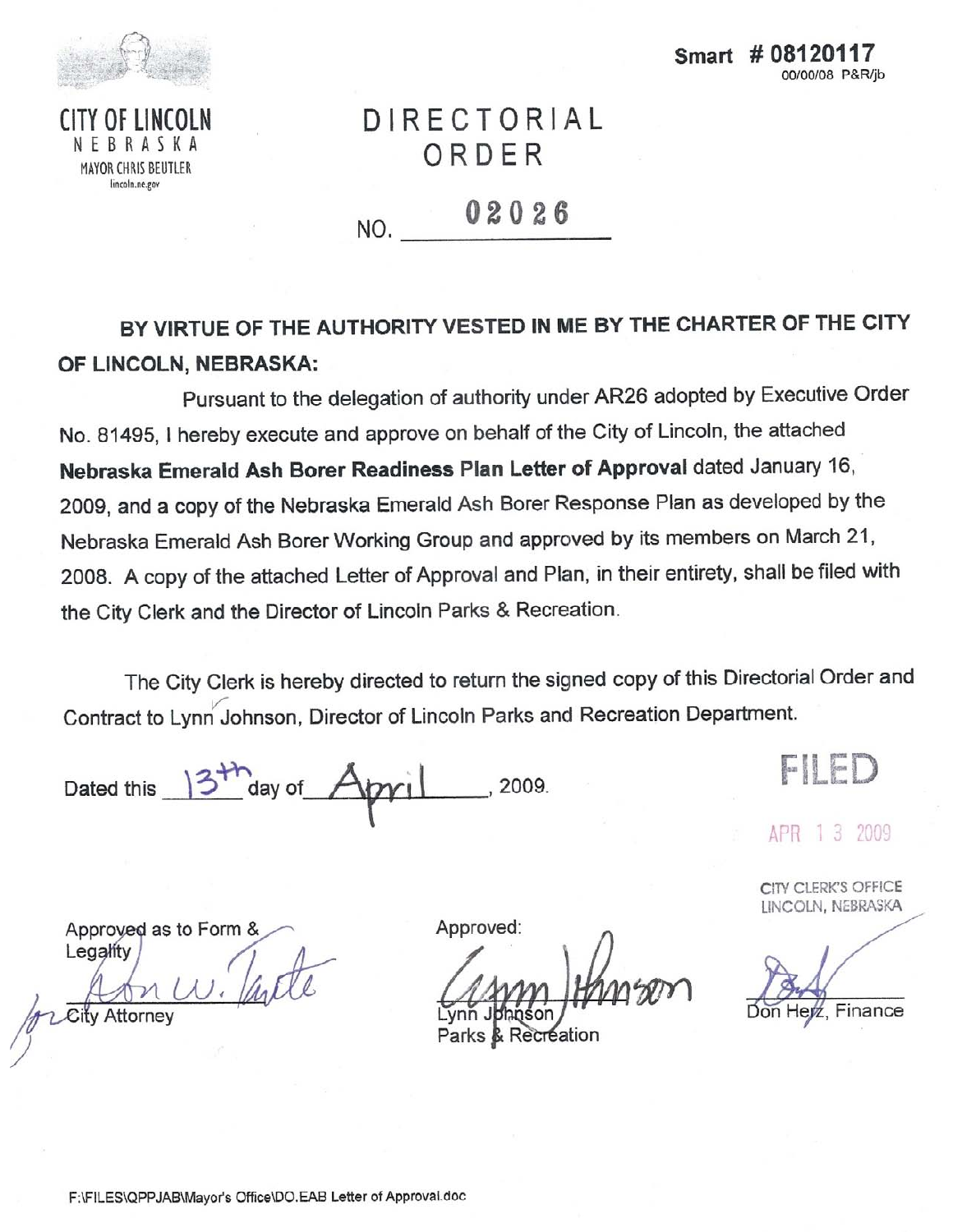

Smart # 08120 00/00/08 P&R/ib

MAYOR CHRIS BEUTLER lincoln.ne.gov

# DIRECTORIAL ORDER

02026 NO.

# BY VIRTUE OF THE AUTHORITY VESTED IN ME BY THE CHARTER OF THE CITY OF LINCOLN, NEBRASKA:

Pursuant to the delegation of authority under AR26 adopted by Executive Order No. 81495, I hereby execute and approve on behalf of the City of Lincoln, the attached Nebraska Emerald Ash Borer Readiness Plan Letter of Approval dated January 16, 2009, and a copy of the Nebraska Emerald Ash Borer Response Plan as developed by the Nebraska Emerald Ash Borer Working Group and approved by its members on March 21, 2008. A copy of the attached Letter of Approval and Plan, in their entirety, shall be filed with the City Clerk and the Director of Lincoln Parks & Recreation.

The City Clerk is hereby directed to return the signed copy of this Directorial Order and Contract to Lynn Johnson, Director of Lincoln Parks and Recreation Department.

Dated this  $3<sup>th</sup>$  day of , 2009.

2009 APR.

CITY CLERK'S OFFICE LINCOLN, NEBRASKA

Don Herz, Finance

Approved:

Parks & Recreation

Approved as to Form &

Legality

City Attorney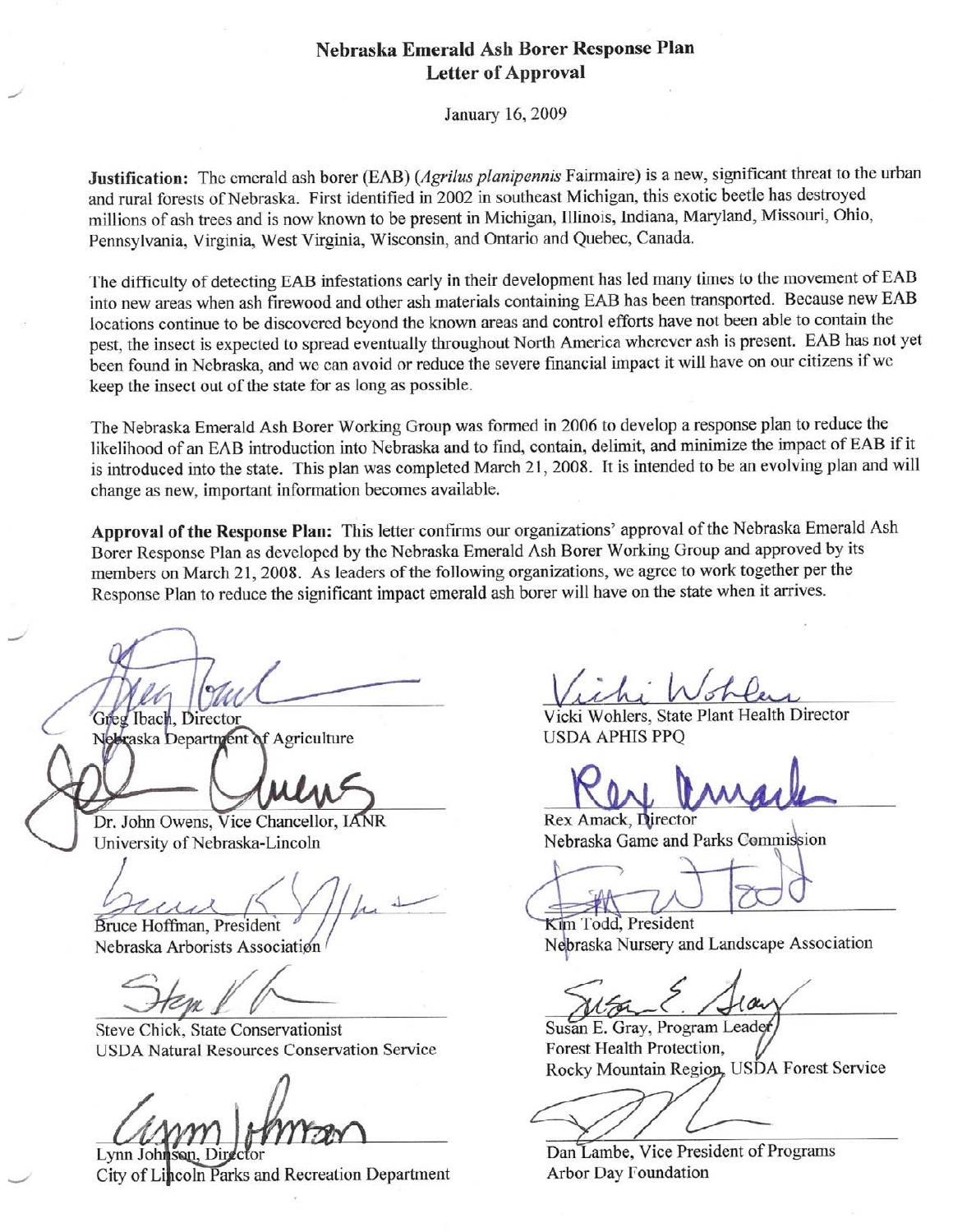## Nebraska Emerald Ash Borer Response Plan **Letter of Approval**

January 16, 2009

Justification: The emerald ash borer (EAB) (Agrilus planipennis Fairmaire) is a new, significant threat to the urban and rural forests of Nebraska. First identified in 2002 in southeast Michigan, this exotic beetle has destroyed millions of ash trees and is now known to be present in Michigan, Illinois, Indiana, Maryland, Missouri, Ohio, Pennsylvania, Virginia, West Virginia, Wisconsin, and Ontario and Quebec, Canada.

The difficulty of detecting EAB infestations early in their development has led many times to the movement of EAB into new areas when ash firewood and other ash materials containing EAB has been transported. Because new EAB locations continue to be discovered beyond the known areas and control efforts have not been able to contain the pest, the insect is expected to spread eventually throughout North America wherever ash is present. EAB has not yet been found in Nebraska, and we can avoid or reduce the severe financial impact it will have on our citizens if we keep the insect out of the state for as long as possible.

The Nebraska Emerald Ash Borer Working Group was formed in 2006 to develop a response plan to reduce the likelihood of an EAB introduction into Nebraska and to find, contain, delimit, and minimize the impact of EAB if it is introduced into the state. This plan was completed March 21, 2008. It is intended to be an evolving plan and will change as new, important information becomes available.

Approval of the Response Plan: This letter confirms our organizations' approval of the Nebraska Emerald Ash Borer Response Plan as developed by the Nebraska Emerald Ash Borer Working Group and approved by its members on March 21, 2008. As leaders of the following organizations, we agree to work together per the Response Plan to reduce the significant impact emerald ash borer will have on the state when it arrives.

Greg Ibach, Director Nebraska Department of Agriculture

Dr. John Owens, Vice Chancellor, IANR University of Nebraska-Lincoln

Mil Bruce Hoffman, President

Nebraska Arborists Association

Steve Chick, State Conservationist **USDA Natural Resources Conservation Service** 

Lynn Johnson, Dir

City of Lincoln Parks and Recreation Department

Vicki Wohlers, State Plant Health Director **USDA APHIS PPO** 

Rex Amack, Director Nebraska Game and Parks Commission

Kim Todd, President Nebraska Nursery and Landscape Association

law

Susan E. Gray, Program Leader Forest Health Protection, Rocky Mountain Region, USDA Forest Service

Dan Lambe, Vice President of Programs Arbor Day Foundation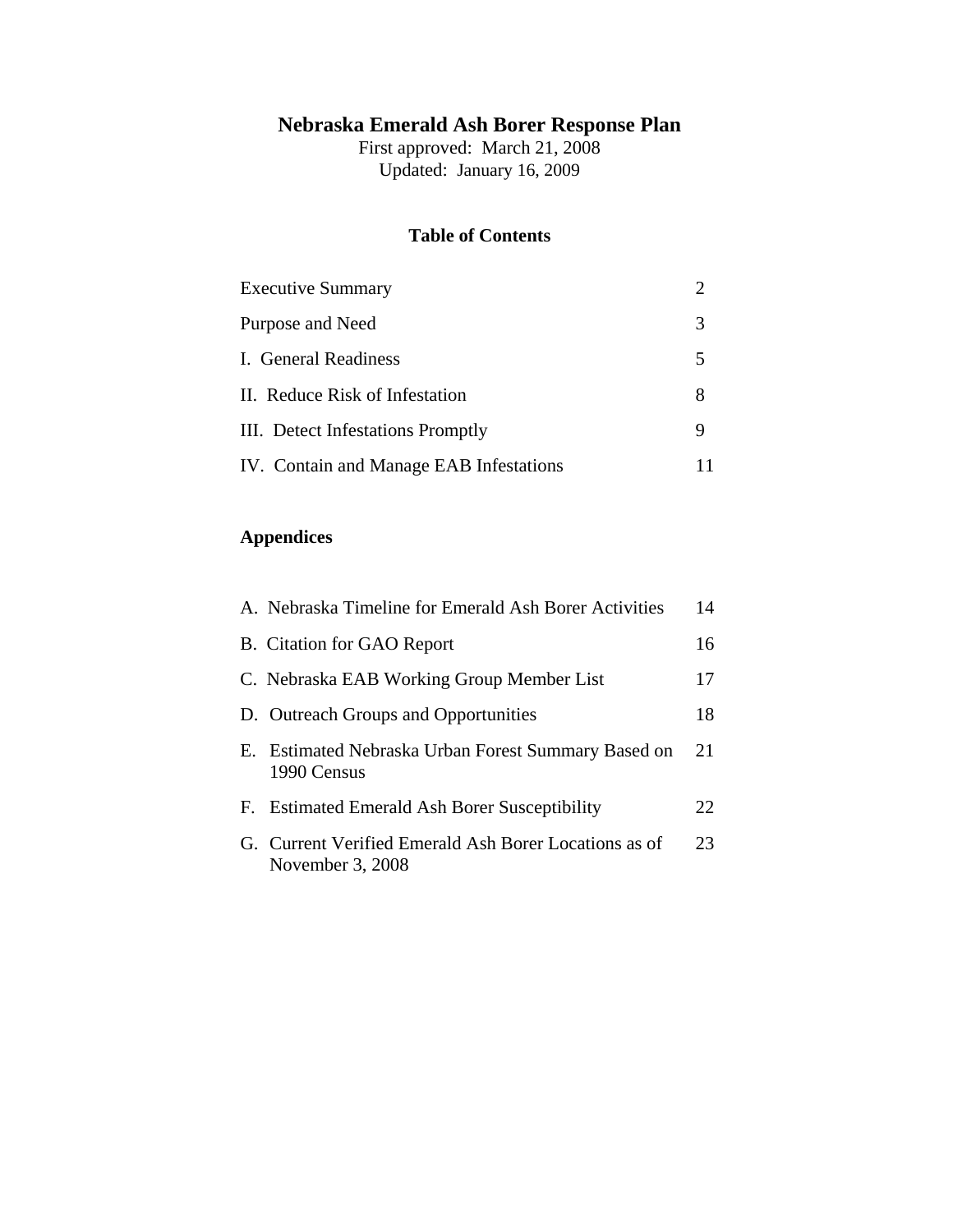## **Nebraska Emerald Ash Borer Response Plan**

First approved: March 21, 2008 Updated: January 16, 2009

## **Table of Contents**

| <b>Executive Summary</b>                |   |
|-----------------------------------------|---|
| Purpose and Need                        | 3 |
| I. General Readiness                    | 5 |
| II. Reduce Risk of Infestation          | 8 |
| III. Detect Infestations Promptly       |   |
| IV. Contain and Manage EAB Infestations |   |

## **Appendices**

| A. Nebraska Timeline for Emerald Ash Borer Activities                     | 14 |
|---------------------------------------------------------------------------|----|
| B. Citation for GAO Report                                                | 16 |
| C. Nebraska EAB Working Group Member List                                 | 17 |
| D. Outreach Groups and Opportunities                                      | 18 |
| E. Estimated Nebraska Urban Forest Summary Based on<br>1990 Census        | 21 |
| F. Estimated Emerald Ash Borer Susceptibility                             | 22 |
| G. Current Verified Emerald Ash Borer Locations as of<br>November 3, 2008 | 23 |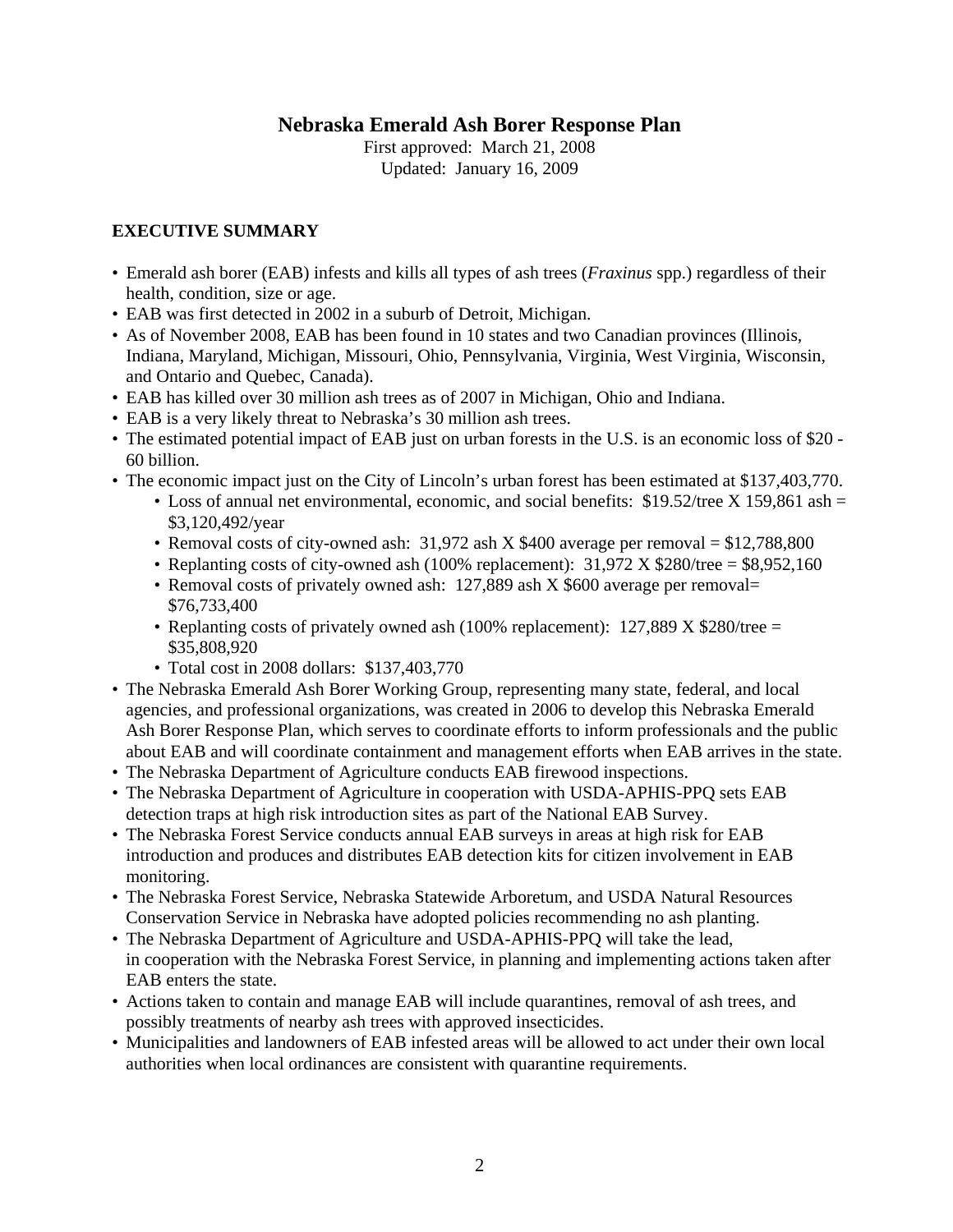## **Nebraska Emerald Ash Borer Response Plan**

First approved: March 21, 2008 Updated: January 16, 2009

### **EXECUTIVE SUMMARY**

- Emerald ash borer (EAB) infests and kills all types of ash trees (*Fraxinus* spp.) regardless of their health, condition, size or age.
- EAB was first detected in 2002 in a suburb of Detroit, Michigan.
- As of November 2008, EAB has been found in 10 states and two Canadian provinces (Illinois, Indiana, Maryland, Michigan, Missouri, Ohio, Pennsylvania, Virginia, West Virginia, Wisconsin, and Ontario and Quebec, Canada).
- EAB has killed over 30 million ash trees as of 2007 in Michigan, Ohio and Indiana.
- EAB is a very likely threat to Nebraska's 30 million ash trees.
- The estimated potential impact of EAB just on urban forests in the U.S. is an economic loss of \$20 60 billion.
- The economic impact just on the City of Lincoln's urban forest has been estimated at \$137,403,770.
	- Loss of annual net environmental, economic, and social benefits: \$19.52/tree X 159,861 ash = \$3,120,492/year
	- Removal costs of city-owned ash: 31,972 ash X \$400 average per removal = \$12,788,800
	- Replanting costs of city-owned ash (100% replacement):  $31,972$  X \$280/tree = \$8,952,160
	- Removal costs of privately owned ash: 127,889 ash X \$600 average per removal= \$76,733,400
	- Replanting costs of privately owned ash  $(100\%$  replacement): 127,889 X \$280/tree = \$35,808,920
	- Total cost in 2008 dollars: \$137,403,770
- The Nebraska Emerald Ash Borer Working Group, representing many state, federal, and local agencies, and professional organizations, was created in 2006 to develop this Nebraska Emerald Ash Borer Response Plan, which serves to coordinate efforts to inform professionals and the public about EAB and will coordinate containment and management efforts when EAB arrives in the state.
- The Nebraska Department of Agriculture conducts EAB firewood inspections.
- The Nebraska Department of Agriculture in cooperation with USDA-APHIS-PPQ sets EAB detection traps at high risk introduction sites as part of the National EAB Survey.
- The Nebraska Forest Service conducts annual EAB surveys in areas at high risk for EAB introduction and produces and distributes EAB detection kits for citizen involvement in EAB monitoring.
- The Nebraska Forest Service, Nebraska Statewide Arboretum, and USDA Natural Resources Conservation Service in Nebraska have adopted policies recommending no ash planting.
- The Nebraska Department of Agriculture and USDA-APHIS-PPQ will take the lead, in cooperation with the Nebraska Forest Service, in planning and implementing actions taken after EAB enters the state.
- Actions taken to contain and manage EAB will include quarantines, removal of ash trees, and possibly treatments of nearby ash trees with approved insecticides.
- Municipalities and landowners of EAB infested areas will be allowed to act under their own local authorities when local ordinances are consistent with quarantine requirements.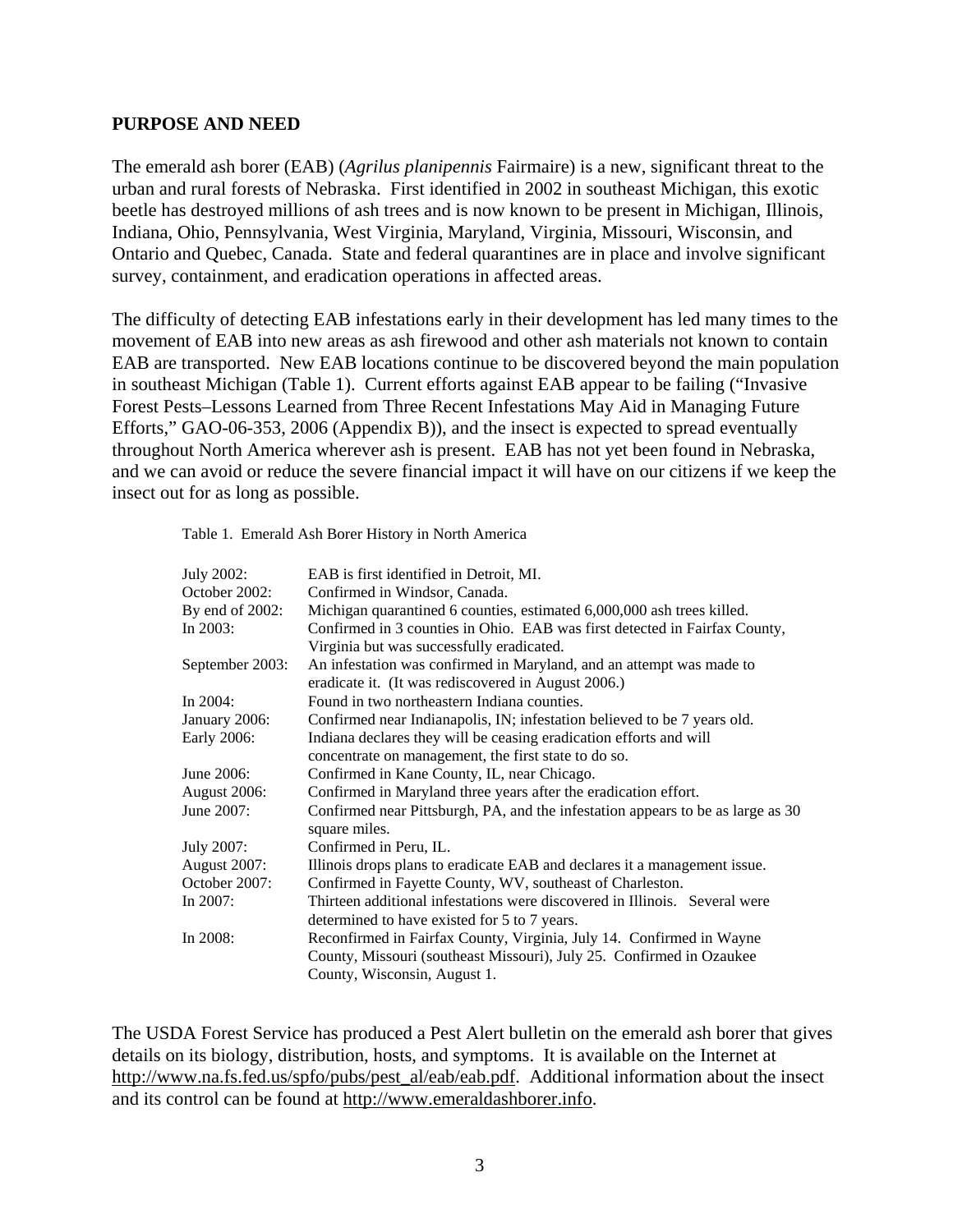#### **PURPOSE AND NEED**

The emerald ash borer (EAB) (*Agrilus planipennis* Fairmaire) is a new, significant threat to the urban and rural forests of Nebraska. First identified in 2002 in southeast Michigan, this exotic beetle has destroyed millions of ash trees and is now known to be present in Michigan, Illinois, Indiana, Ohio, Pennsylvania, West Virginia, Maryland, Virginia, Missouri, Wisconsin, and Ontario and Quebec, Canada. State and federal quarantines are in place and involve significant survey, containment, and eradication operations in affected areas.

The difficulty of detecting EAB infestations early in their development has led many times to the movement of EAB into new areas as ash firewood and other ash materials not known to contain EAB are transported. New EAB locations continue to be discovered beyond the main population in southeast Michigan (Table 1). Current efforts against EAB appear to be failing ("Invasive Forest Pests–Lessons Learned from Three Recent Infestations May Aid in Managing Future Efforts," GAO-06-353, 2006 (Appendix B)), and the insect is expected to spread eventually throughout North America wherever ash is present. EAB has not yet been found in Nebraska, and we can avoid or reduce the severe financial impact it will have on our citizens if we keep the insect out for as long as possible.

Table 1. Emerald Ash Borer History in North America

| July 2002:          | EAB is first identified in Detroit, MI.                                                          |
|---------------------|--------------------------------------------------------------------------------------------------|
| October 2002:       | Confirmed in Windsor, Canada.                                                                    |
| By end of 2002:     | Michigan quarantined 6 counties, estimated 6,000,000 ash trees killed.                           |
| In $2003$ :         | Confirmed in 3 counties in Ohio. EAB was first detected in Fairfax County,                       |
|                     | Virginia but was successfully eradicated.                                                        |
| September 2003:     | An infestation was confirmed in Maryland, and an attempt was made to                             |
|                     | eradicate it. (It was rediscovered in August 2006.)                                              |
| In $2004$ :         | Found in two northeastern Indiana counties.                                                      |
| January 2006:       | Confirmed near Indianapolis, IN; infestation believed to be 7 years old.                         |
| Early 2006:         | Indiana declares they will be ceasing eradication efforts and will                               |
|                     | concentrate on management, the first state to do so.                                             |
| June 2006:          | Confirmed in Kane County, IL, near Chicago.                                                      |
| <b>August 2006:</b> | Confirmed in Maryland three years after the eradication effort.                                  |
| June 2007:          | Confirmed near Pittsburgh, PA, and the infestation appears to be as large as 30<br>square miles. |
| July 2007:          | Confirmed in Peru, IL.                                                                           |
| <b>August 2007:</b> | Illinois drops plans to eradicate EAB and declares it a management issue.                        |
| October 2007:       | Confirmed in Fayette County, WV, southeast of Charleston.                                        |
| In $2007$ :         | Thirteen additional infestations were discovered in Illinois. Several were                       |
|                     | determined to have existed for 5 to 7 years.                                                     |
| In $2008$ :         | Reconfirmed in Fairfax County, Virginia, July 14. Confirmed in Wayne                             |
|                     | County, Missouri (southeast Missouri), July 25. Confirmed in Ozaukee                             |
|                     | County, Wisconsin, August 1.                                                                     |
|                     |                                                                                                  |

The USDA Forest Service has produced a Pest Alert bulletin on the emerald ash borer that gives details on its biology, distribution, hosts, and symptoms. It is available on the Internet at http://www.na.fs.fed.us/spfo/pubs/pest\_al/eab/eab.pdf. Additional information about the insect and its control can be found at http://www.emeraldashborer.info.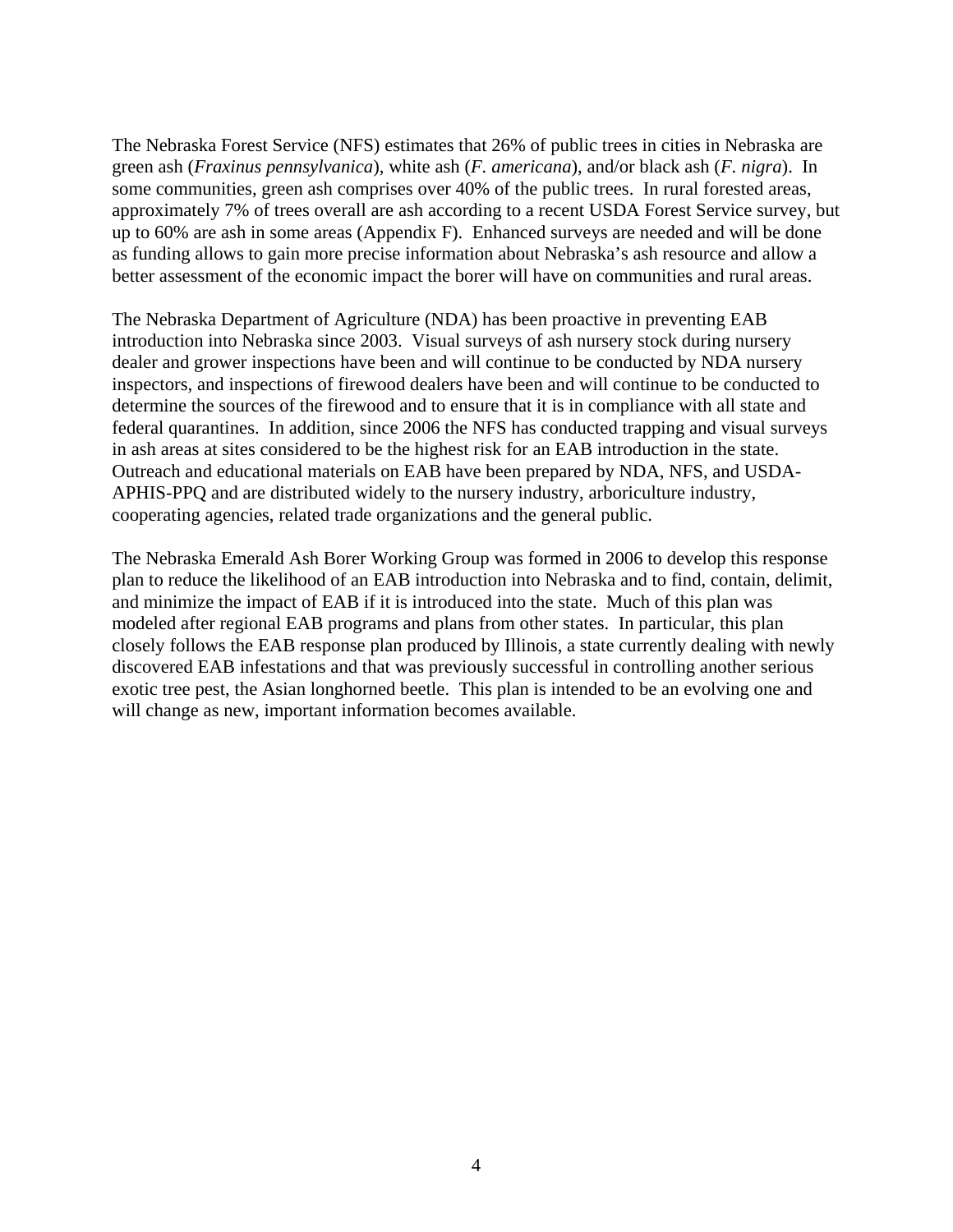The Nebraska Forest Service (NFS) estimates that 26% of public trees in cities in Nebraska are green ash (*Fraxinus pennsylvanica*), white ash (*F. americana*), and/or black ash (*F. nigra*). In some communities, green ash comprises over 40% of the public trees. In rural forested areas, approximately 7% of trees overall are ash according to a recent USDA Forest Service survey, but up to 60% are ash in some areas (Appendix F). Enhanced surveys are needed and will be done as funding allows to gain more precise information about Nebraska's ash resource and allow a better assessment of the economic impact the borer will have on communities and rural areas.

The Nebraska Department of Agriculture (NDA) has been proactive in preventing EAB introduction into Nebraska since 2003. Visual surveys of ash nursery stock during nursery dealer and grower inspections have been and will continue to be conducted by NDA nursery inspectors, and inspections of firewood dealers have been and will continue to be conducted to determine the sources of the firewood and to ensure that it is in compliance with all state and federal quarantines. In addition, since 2006 the NFS has conducted trapping and visual surveys in ash areas at sites considered to be the highest risk for an EAB introduction in the state. Outreach and educational materials on EAB have been prepared by NDA, NFS, and USDA-APHIS-PPQ and are distributed widely to the nursery industry, arboriculture industry, cooperating agencies, related trade organizations and the general public.

The Nebraska Emerald Ash Borer Working Group was formed in 2006 to develop this response plan to reduce the likelihood of an EAB introduction into Nebraska and to find, contain, delimit, and minimize the impact of EAB if it is introduced into the state. Much of this plan was modeled after regional EAB programs and plans from other states. In particular, this plan closely follows the EAB response plan produced by Illinois, a state currently dealing with newly discovered EAB infestations and that was previously successful in controlling another serious exotic tree pest, the Asian longhorned beetle. This plan is intended to be an evolving one and will change as new, important information becomes available.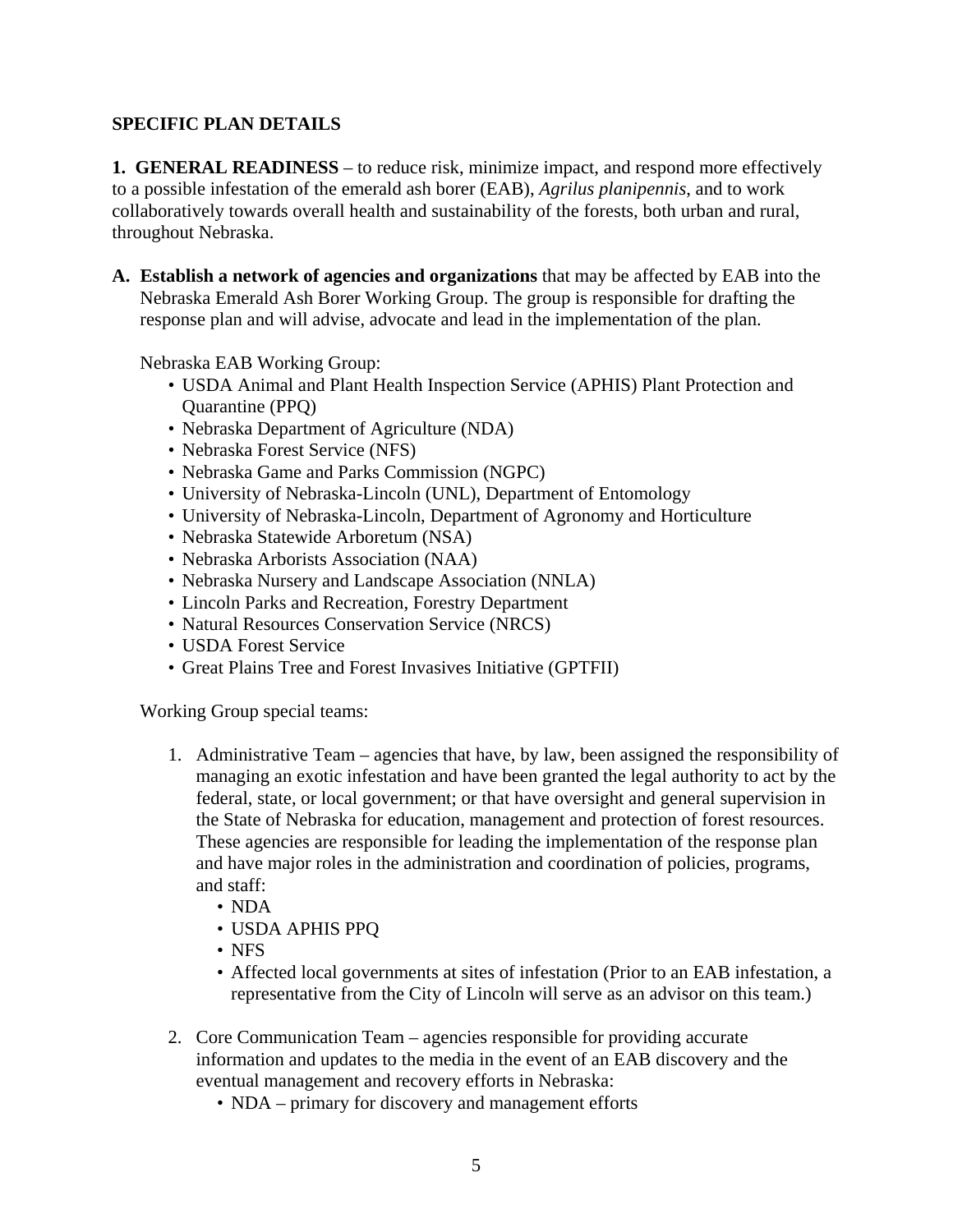## **SPECIFIC PLAN DETAILS**

**1. GENERAL READINESS** – to reduce risk, minimize impact, and respond more effectively to a possible infestation of the emerald ash borer (EAB), *Agrilus planipennis*, and to work collaboratively towards overall health and sustainability of the forests, both urban and rural, throughout Nebraska.

**A. Establish a network of agencies and organizations** that may be affected by EAB into the Nebraska Emerald Ash Borer Working Group. The group is responsible for drafting the response plan and will advise, advocate and lead in the implementation of the plan.

Nebraska EAB Working Group:

- USDA Animal and Plant Health Inspection Service (APHIS) Plant Protection and Quarantine (PPQ)
- Nebraska Department of Agriculture (NDA)
- Nebraska Forest Service (NFS)
- Nebraska Game and Parks Commission (NGPC)
- University of Nebraska-Lincoln (UNL), Department of Entomology
- University of Nebraska-Lincoln, Department of Agronomy and Horticulture
- Nebraska Statewide Arboretum (NSA)
- Nebraska Arborists Association (NAA)
- Nebraska Nursery and Landscape Association (NNLA)
- Lincoln Parks and Recreation, Forestry Department
- Natural Resources Conservation Service (NRCS)
- USDA Forest Service
- Great Plains Tree and Forest Invasives Initiative (GPTFII)

Working Group special teams:

- 1. Administrative Team agencies that have, by law, been assigned the responsibility of managing an exotic infestation and have been granted the legal authority to act by the federal, state, or local government; or that have oversight and general supervision in the State of Nebraska for education, management and protection of forest resources. These agencies are responsible for leading the implementation of the response plan and have major roles in the administration and coordination of policies, programs, and staff:
	- NDA
	- USDA APHIS PPQ
	- NFS
	- Affected local governments at sites of infestation (Prior to an EAB infestation, a representative from the City of Lincoln will serve as an advisor on this team.)
- 2. Core Communication Team agencies responsible for providing accurate information and updates to the media in the event of an EAB discovery and the eventual management and recovery efforts in Nebraska:
	- NDA primary for discovery and management efforts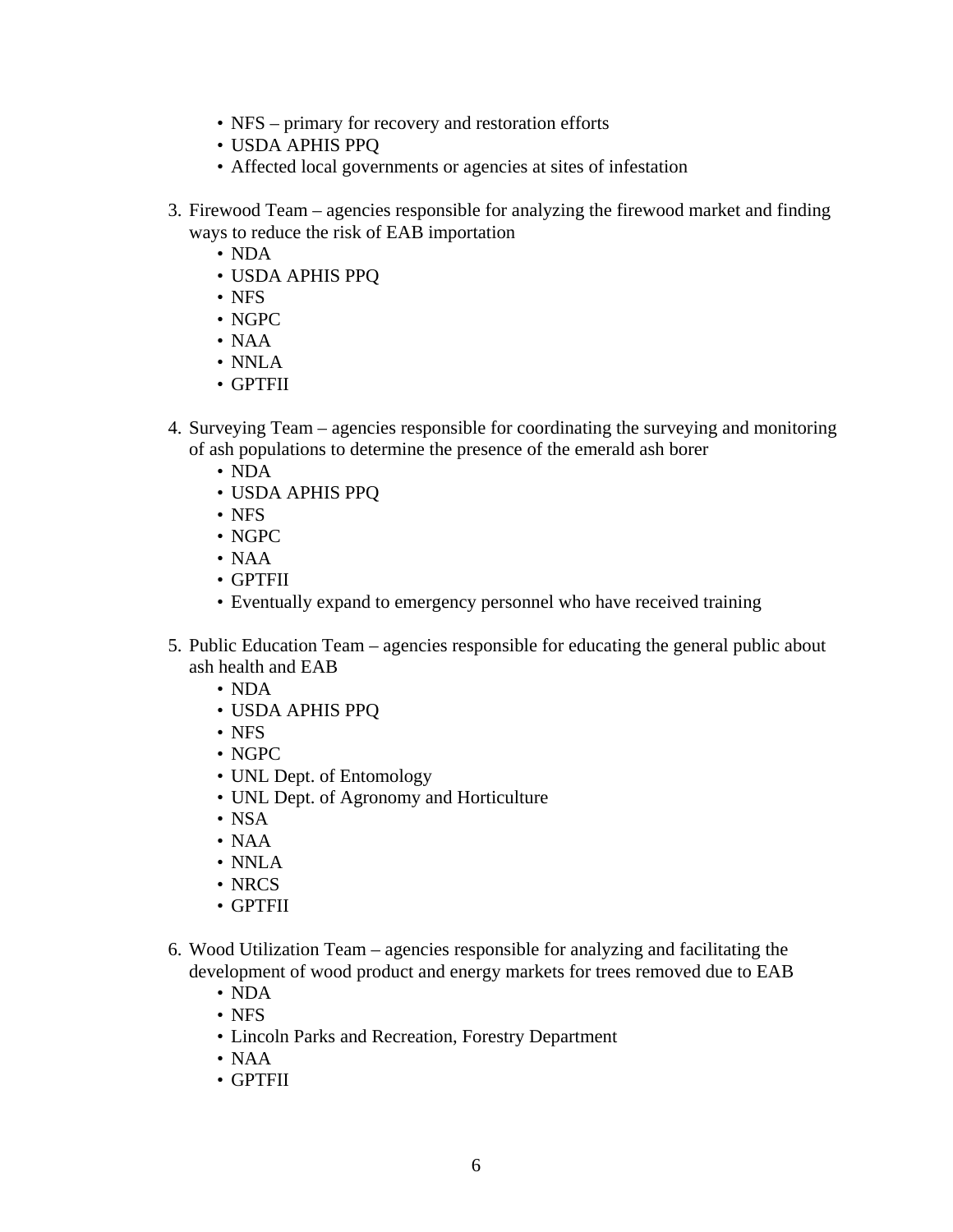- NFS primary for recovery and restoration efforts
- USDA APHIS PPQ
- Affected local governments or agencies at sites of infestation
- 3. Firewood Team agencies responsible for analyzing the firewood market and finding ways to reduce the risk of EAB importation
	- NDA
	- USDA APHIS PPQ
	- NFS
	- NGPC
	- NAA
	- NNLA
	- GPTFII
- 4. Surveying Team agencies responsible for coordinating the surveying and monitoring of ash populations to determine the presence of the emerald ash borer
	- NDA
	- USDA APHIS PPQ
	- NFS
	- NGPC
	- NAA
	- GPTFII
	- Eventually expand to emergency personnel who have received training
- 5. Public Education Team agencies responsible for educating the general public about ash health and EAB
	- NDA
	- USDA APHIS PPQ
	- NFS
	- NGPC
	- UNL Dept. of Entomology
	- UNL Dept. of Agronomy and Horticulture
	- NSA
	- NAA
	- NNLA
	- NRCS
	- GPTFII
- 6. Wood Utilization Team agencies responsible for analyzing and facilitating the development of wood product and energy markets for trees removed due to EAB
	- NDA
	- NFS
	- Lincoln Parks and Recreation, Forestry Department
	- NAA
	- GPTFII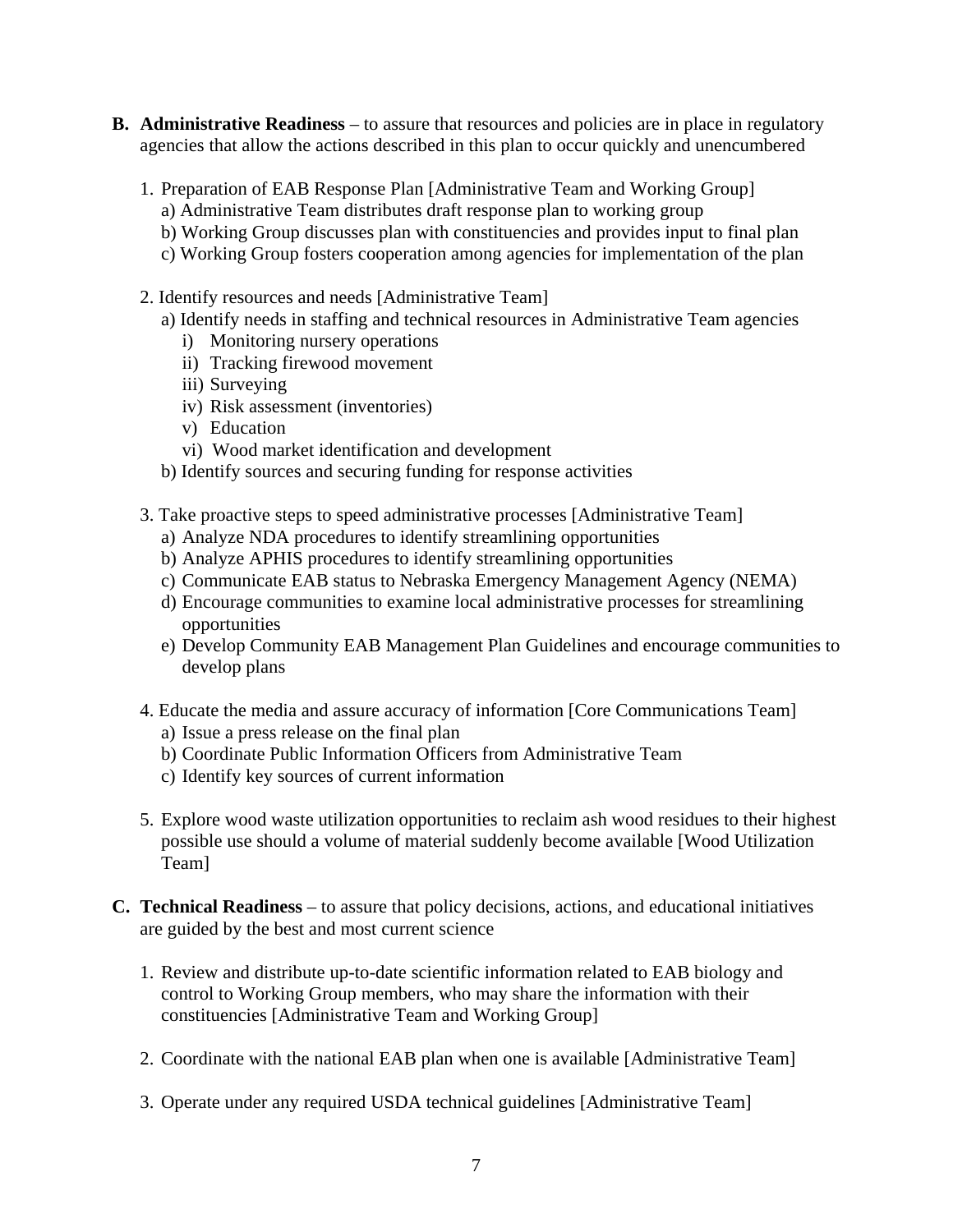- **B. Administrative Readiness** to assure that resources and policies are in place in regulatory agencies that allow the actions described in this plan to occur quickly and unencumbered
	- 1. Preparation of EAB Response Plan [Administrative Team and Working Group]
		- a) Administrative Team distributes draft response plan to working group
		- b) Working Group discusses plan with constituencies and provides input to final plan
		- c) Working Group fosters cooperation among agencies for implementation of the plan
	- 2. Identify resources and needs [Administrative Team]
		- a) Identify needs in staffing and technical resources in Administrative Team agencies
			- i) Monitoring nursery operations
			- ii) Tracking firewood movement
			- iii) Surveying
			- iv) Risk assessment (inventories)
			- v) Education
			- vi) Wood market identification and development
		- b) Identify sources and securing funding for response activities
	- 3. Take proactive steps to speed administrative processes [Administrative Team]
		- a) Analyze NDA procedures to identify streamlining opportunities
		- b) Analyze APHIS procedures to identify streamlining opportunities
		- c) Communicate EAB status to Nebraska Emergency Management Agency (NEMA)
		- d) Encourage communities to examine local administrative processes for streamlining opportunities
		- e) Develop Community EAB Management Plan Guidelines and encourage communities to develop plans
	- 4. Educate the media and assure accuracy of information [Core Communications Team]
		- a) Issue a press release on the final plan
		- b) Coordinate Public Information Officers from Administrative Team
		- c) Identify key sources of current information
	- 5. Explore wood waste utilization opportunities to reclaim ash wood residues to their highest possible use should a volume of material suddenly become available [Wood Utilization Team]
- **C. Technical Readiness** to assure that policy decisions, actions, and educational initiatives are guided by the best and most current science
	- 1. Review and distribute up-to-date scientific information related to EAB biology and control to Working Group members, who may share the information with their constituencies [Administrative Team and Working Group]
	- 2. Coordinate with the national EAB plan when one is available [Administrative Team]
	- 3. Operate under any required USDA technical guidelines [Administrative Team]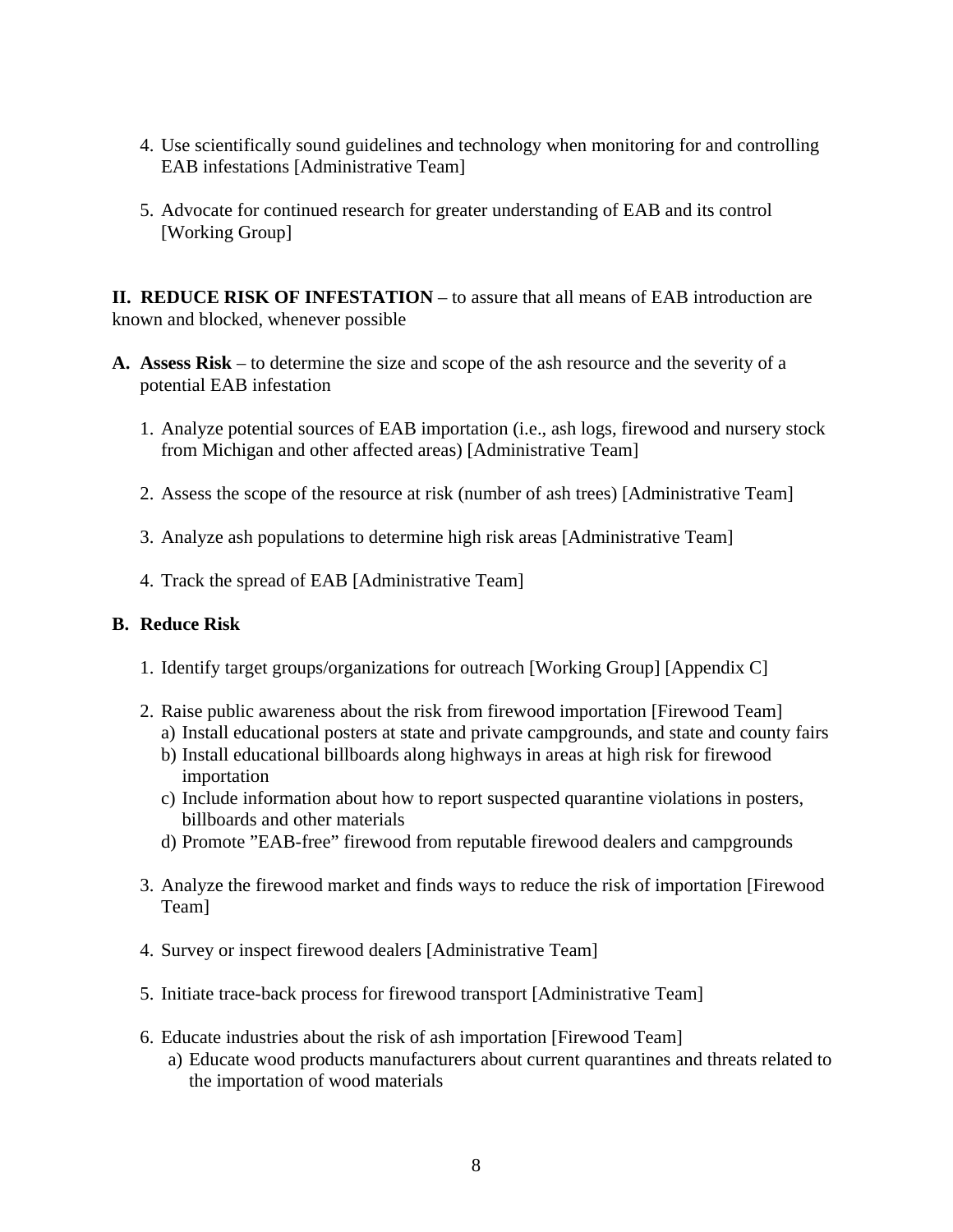- 4. Use scientifically sound guidelines and technology when monitoring for and controlling EAB infestations [Administrative Team]
- 5. Advocate for continued research for greater understanding of EAB and its control [Working Group]

**II. REDUCE RISK OF INFESTATION** – to assure that all means of EAB introduction are known and blocked, whenever possible

- **A. Assess Risk** to determine the size and scope of the ash resource and the severity of a potential EAB infestation
	- 1. Analyze potential sources of EAB importation (i.e., ash logs, firewood and nursery stock from Michigan and other affected areas) [Administrative Team]
	- 2. Assess the scope of the resource at risk (number of ash trees) [Administrative Team]
	- 3. Analyze ash populations to determine high risk areas [Administrative Team]
	- 4. Track the spread of EAB [Administrative Team]

### **B. Reduce Risk**

- 1. Identify target groups/organizations for outreach [Working Group] [Appendix C]
- 2. Raise public awareness about the risk from firewood importation [Firewood Team]
	- a) Install educational posters at state and private campgrounds, and state and county fairs
	- b) Install educational billboards along highways in areas at high risk for firewood importation
	- c) Include information about how to report suspected quarantine violations in posters, billboards and other materials
	- d) Promote "EAB-free" firewood from reputable firewood dealers and campgrounds
- 3. Analyze the firewood market and finds ways to reduce the risk of importation [Firewood Team]
- 4. Survey or inspect firewood dealers [Administrative Team]
- 5. Initiate trace-back process for firewood transport [Administrative Team]
- 6. Educate industries about the risk of ash importation [Firewood Team]
	- a) Educate wood products manufacturers about current quarantines and threats related to the importation of wood materials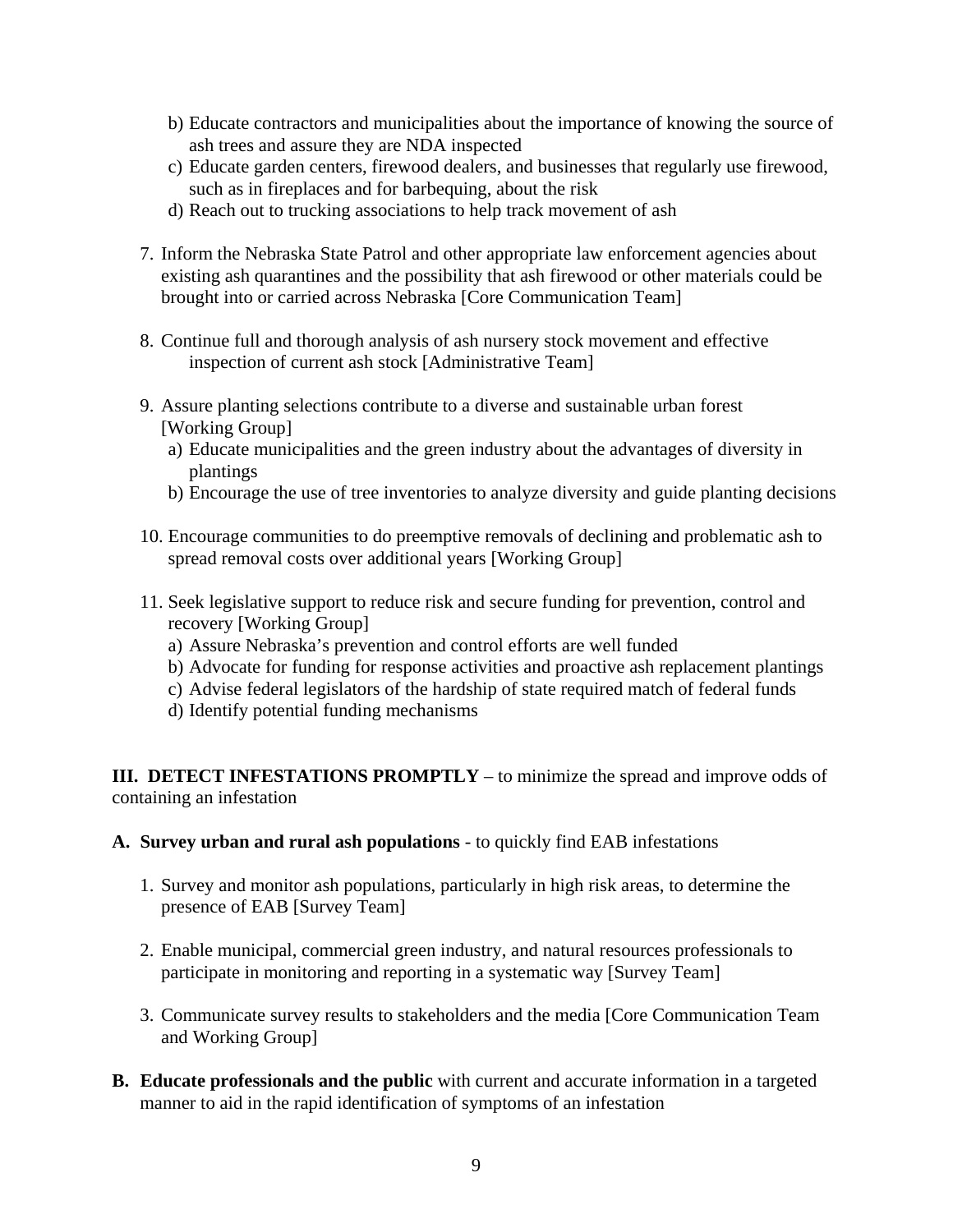- b) Educate contractors and municipalities about the importance of knowing the source of ash trees and assure they are NDA inspected
- c) Educate garden centers, firewood dealers, and businesses that regularly use firewood, such as in fireplaces and for barbequing, about the risk
- d) Reach out to trucking associations to help track movement of ash
- 7. Inform the Nebraska State Patrol and other appropriate law enforcement agencies about existing ash quarantines and the possibility that ash firewood or other materials could be brought into or carried across Nebraska [Core Communication Team]
- 8. Continue full and thorough analysis of ash nursery stock movement and effective inspection of current ash stock [Administrative Team]
- 9. Assure planting selections contribute to a diverse and sustainable urban forest [Working Group]
	- a) Educate municipalities and the green industry about the advantages of diversity in plantings
	- b) Encourage the use of tree inventories to analyze diversity and guide planting decisions
- 10. Encourage communities to do preemptive removals of declining and problematic ash to spread removal costs over additional years [Working Group]
- 11. Seek legislative support to reduce risk and secure funding for prevention, control and recovery [Working Group]
	- a) Assure Nebraska's prevention and control efforts are well funded
	- b) Advocate for funding for response activities and proactive ash replacement plantings
	- c) Advise federal legislators of the hardship of state required match of federal funds
	- d) Identify potential funding mechanisms

**III. DETECT INFESTATIONS PROMPTLY** – to minimize the spread and improve odds of containing an infestation

- **A. Survey urban and rural ash populations** to quickly find EAB infestations
	- 1. Survey and monitor ash populations, particularly in high risk areas, to determine the presence of EAB [Survey Team]
	- 2. Enable municipal, commercial green industry, and natural resources professionals to participate in monitoring and reporting in a systematic way [Survey Team]
	- 3. Communicate survey results to stakeholders and the media [Core Communication Team and Working Group]
- **B. Educate professionals and the public** with current and accurate information in a targeted manner to aid in the rapid identification of symptoms of an infestation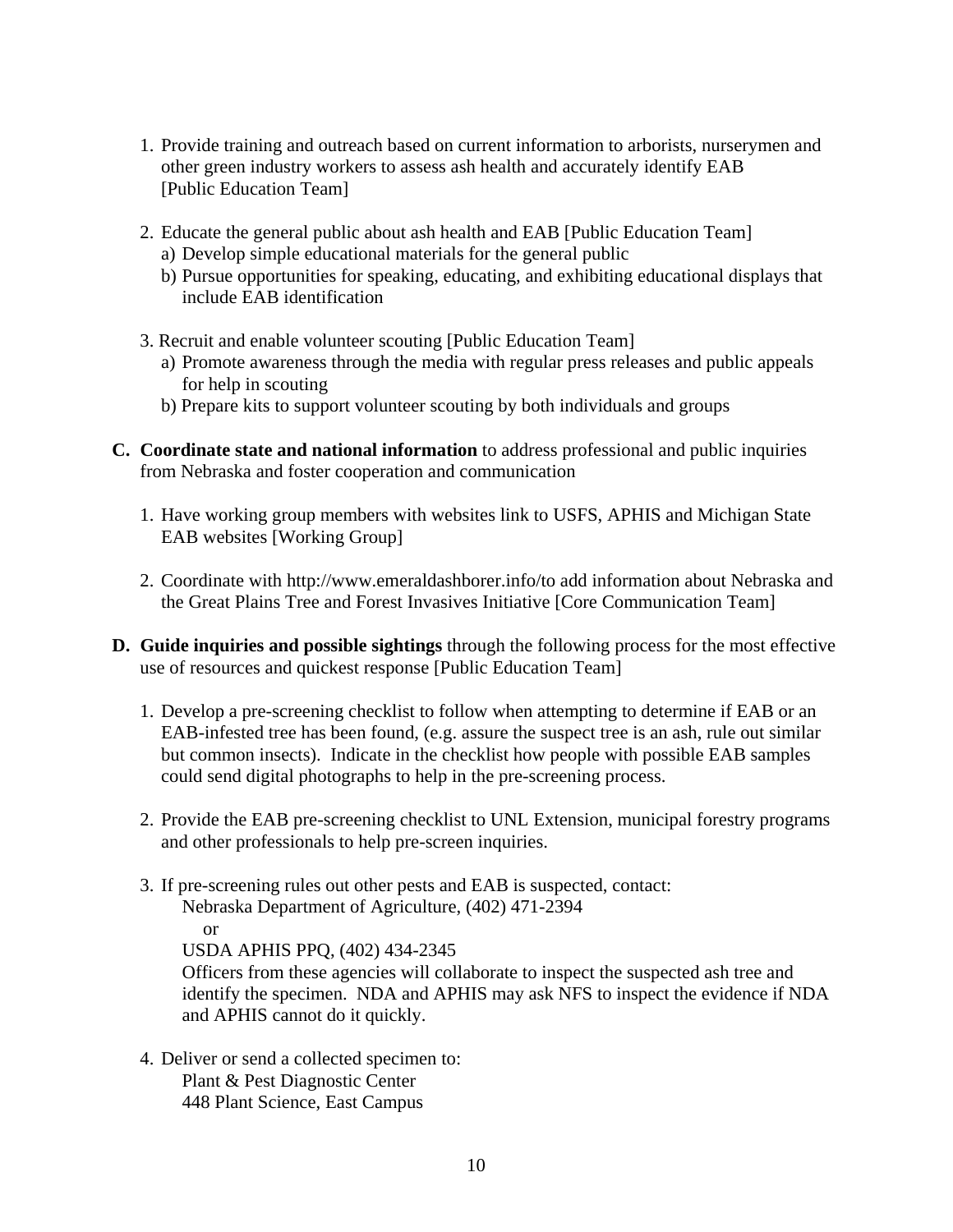- 1. Provide training and outreach based on current information to arborists, nurserymen and other green industry workers to assess ash health and accurately identify EAB [Public Education Team]
- 2. Educate the general public about ash health and EAB [Public Education Team]
	- a) Develop simple educational materials for the general public
	- b) Pursue opportunities for speaking, educating, and exhibiting educational displays that include EAB identification
- 3. Recruit and enable volunteer scouting [Public Education Team]
	- a) Promote awareness through the media with regular press releases and public appeals for help in scouting
	- b) Prepare kits to support volunteer scouting by both individuals and groups
- **C. Coordinate state and national information** to address professional and public inquiries from Nebraska and foster cooperation and communication
	- 1. Have working group members with websites link to USFS, APHIS and Michigan State EAB websites [Working Group]
	- 2. Coordinate with http://www.emeraldashborer.info/to add information about Nebraska and the Great Plains Tree and Forest Invasives Initiative [Core Communication Team]
- **D. Guide inquiries and possible sightings** through the following process for the most effective use of resources and quickest response [Public Education Team]
	- 1. Develop a pre-screening checklist to follow when attempting to determine if EAB or an EAB-infested tree has been found, (e.g. assure the suspect tree is an ash, rule out similar but common insects). Indicate in the checklist how people with possible EAB samples could send digital photographs to help in the pre-screening process.
	- 2. Provide the EAB pre-screening checklist to UNL Extension, municipal forestry programs and other professionals to help pre-screen inquiries.
	- 3. If pre-screening rules out other pests and EAB is suspected, contact:

Nebraska Department of Agriculture, (402) 471-2394

or

USDA APHIS PPQ, (402) 434-2345

 Officers from these agencies will collaborate to inspect the suspected ash tree and identify the specimen. NDA and APHIS may ask NFS to inspect the evidence if NDA and APHIS cannot do it quickly.

 4. Deliver or send a collected specimen to: Plant & Pest Diagnostic Center 448 Plant Science, East Campus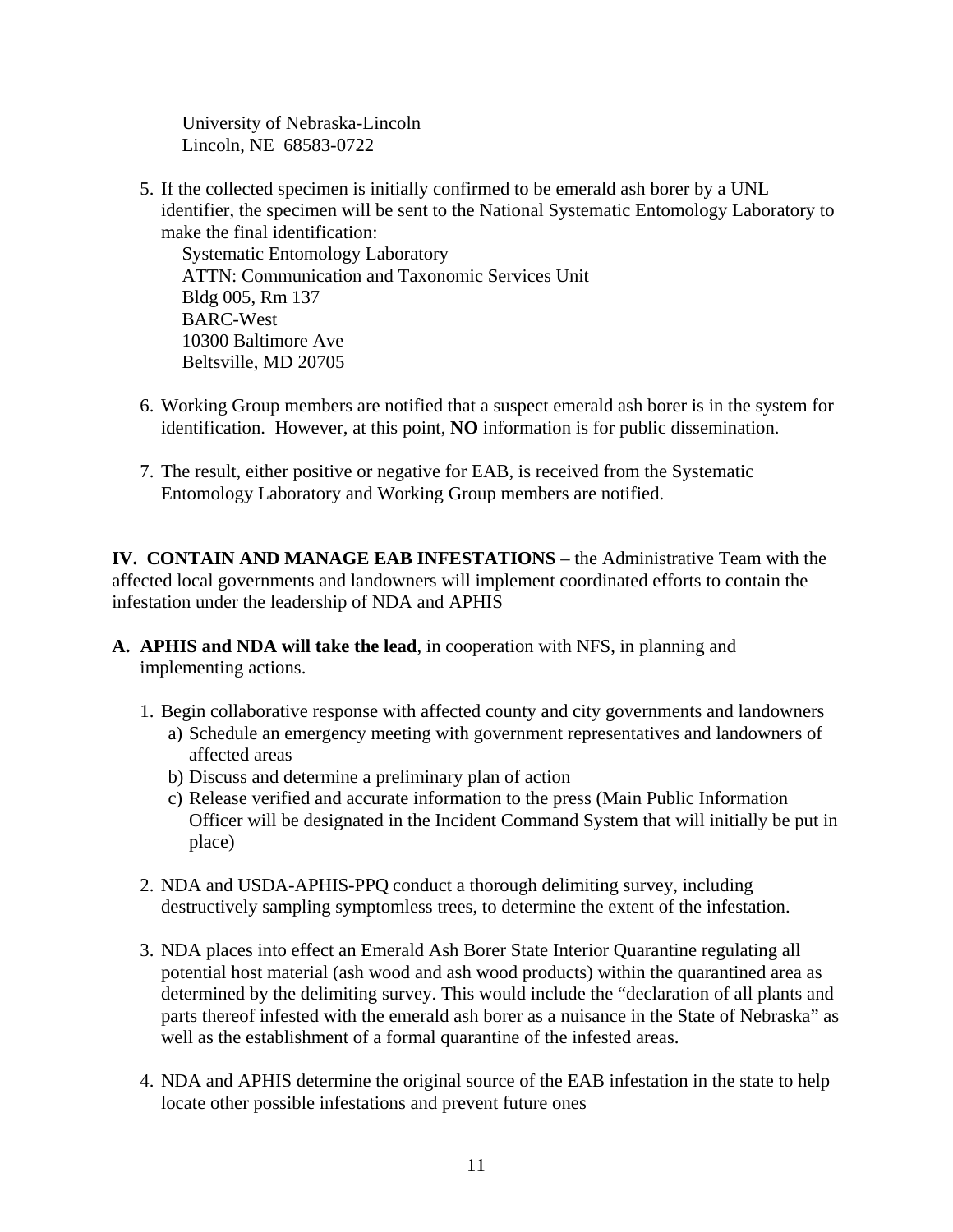University of Nebraska-Lincoln Lincoln, NE 68583-0722

 5. If the collected specimen is initially confirmed to be emerald ash borer by a UNL identifier, the specimen will be sent to the National Systematic Entomology Laboratory to make the final identification:

 Systematic Entomology Laboratory ATTN: Communication and Taxonomic Services Unit Bldg 005, Rm 137 BARC-West 10300 Baltimore Ave Beltsville, MD 20705

- 6. Working Group members are notified that a suspect emerald ash borer is in the system for identification. However, at this point, **NO** information is for public dissemination.
- 7. The result, either positive or negative for EAB, is received from the Systematic Entomology Laboratory and Working Group members are notified.

**IV. CONTAIN AND MANAGE EAB INFESTATIONS** – the Administrative Team with the affected local governments and landowners will implement coordinated efforts to contain the infestation under the leadership of NDA and APHIS

- **A. APHIS and NDA will take the lead**, in cooperation with NFS, in planning and implementing actions.
	- 1. Begin collaborative response with affected county and city governments and landowners a) Schedule an emergency meeting with government representatives and landowners of affected areas
		- b) Discuss and determine a preliminary plan of action
		- c) Release verified and accurate information to the press (Main Public Information Officer will be designated in the Incident Command System that will initially be put in place)
	- 2. NDA and USDA-APHIS-PPQ conduct a thorough delimiting survey, including destructively sampling symptomless trees, to determine the extent of the infestation.
	- 3. NDA places into effect an Emerald Ash Borer State Interior Quarantine regulating all potential host material (ash wood and ash wood products) within the quarantined area as determined by the delimiting survey. This would include the "declaration of all plants and parts thereof infested with the emerald ash borer as a nuisance in the State of Nebraska" as well as the establishment of a formal quarantine of the infested areas.
	- 4. NDA and APHIS determine the original source of the EAB infestation in the state to help locate other possible infestations and prevent future ones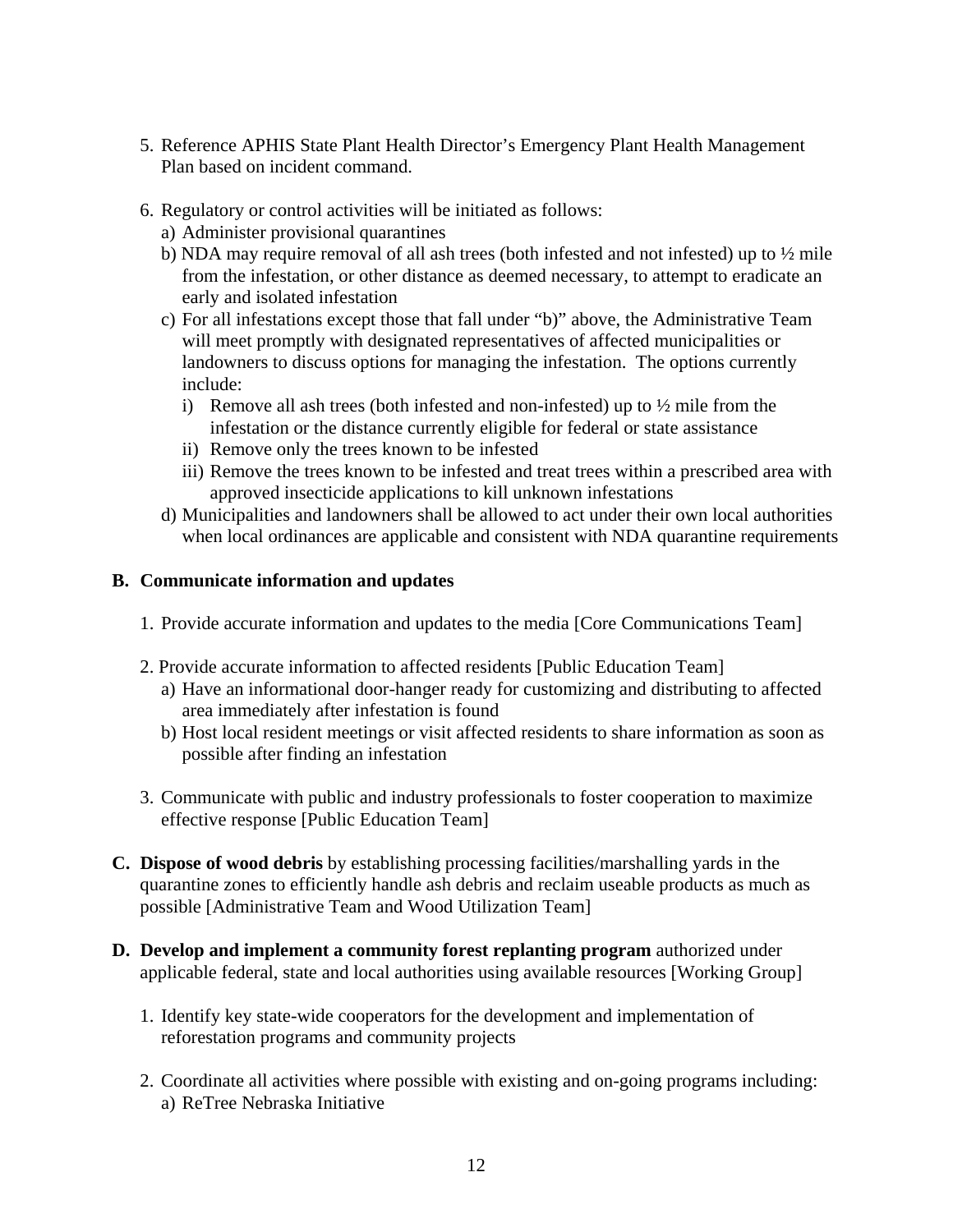- 5. Reference APHIS State Plant Health Director's Emergency Plant Health Management Plan based on incident command.
- 6. Regulatory or control activities will be initiated as follows:
	- a) Administer provisional quarantines
	- b) NDA may require removal of all ash trees (both infested and not infested) up to ½ mile from the infestation, or other distance as deemed necessary, to attempt to eradicate an early and isolated infestation
	- c) For all infestations except those that fall under "b)" above, the Administrative Team will meet promptly with designated representatives of affected municipalities or landowners to discuss options for managing the infestation. The options currently include:
		- i) Remove all ash trees (both infested and non-infested) up to  $\frac{1}{2}$  mile from the infestation or the distance currently eligible for federal or state assistance
		- ii) Remove only the trees known to be infested
		- iii) Remove the trees known to be infested and treat trees within a prescribed area with approved insecticide applications to kill unknown infestations
	- d) Municipalities and landowners shall be allowed to act under their own local authorities when local ordinances are applicable and consistent with NDA quarantine requirements

### **B. Communicate information and updates**

- 1. Provide accurate information and updates to the media [Core Communications Team]
- 2. Provide accurate information to affected residents [Public Education Team]
	- a) Have an informational door-hanger ready for customizing and distributing to affected area immediately after infestation is found
	- b) Host local resident meetings or visit affected residents to share information as soon as possible after finding an infestation
- 3. Communicate with public and industry professionals to foster cooperation to maximize effective response [Public Education Team]
- **C. Dispose of wood debris** by establishing processing facilities/marshalling yards in the quarantine zones to efficiently handle ash debris and reclaim useable products as much as possible [Administrative Team and Wood Utilization Team]
- **D. Develop and implement a community forest replanting program** authorized under applicable federal, state and local authorities using available resources [Working Group]
	- 1. Identify key state-wide cooperators for the development and implementation of reforestation programs and community projects
	- 2. Coordinate all activities where possible with existing and on-going programs including: a) ReTree Nebraska Initiative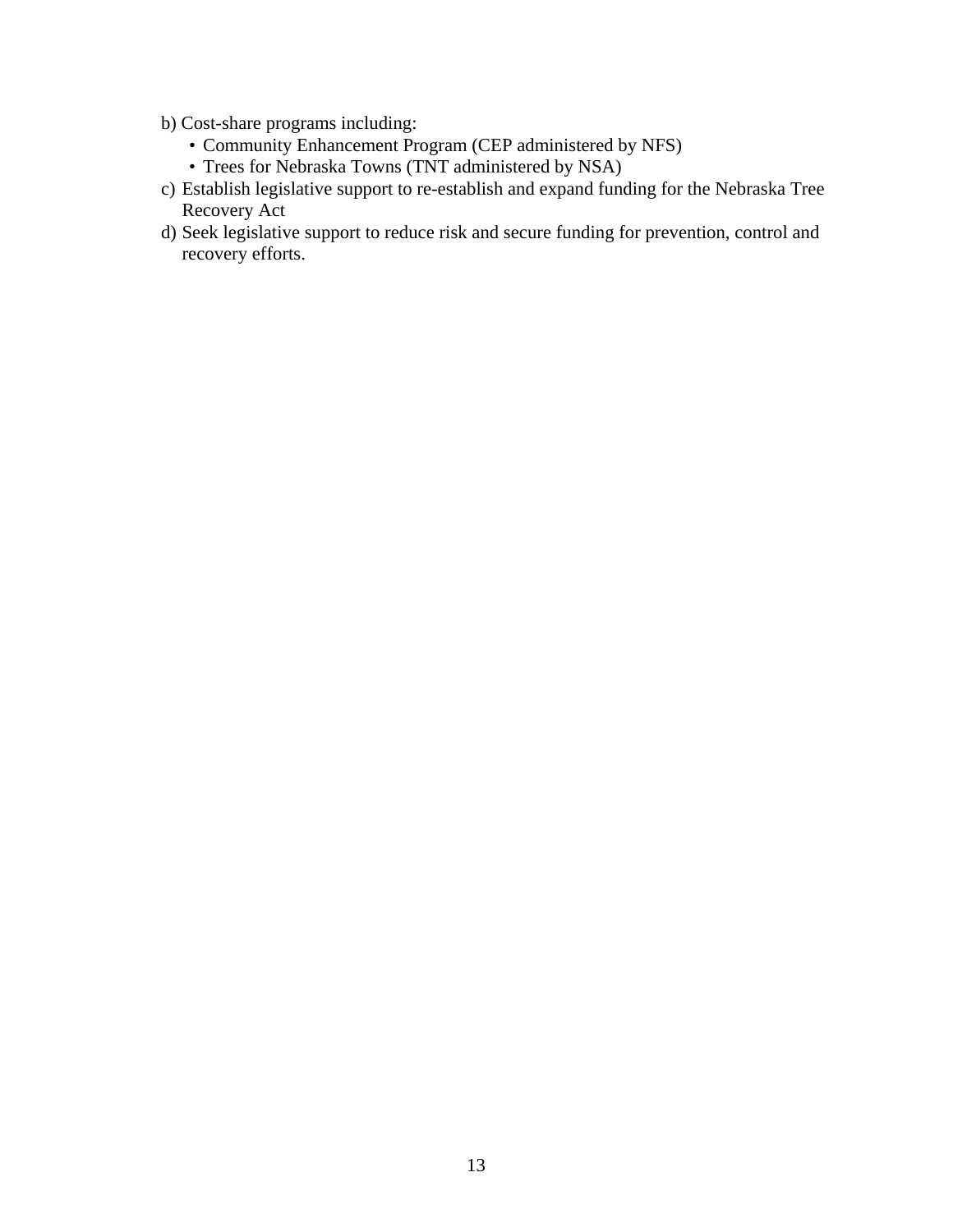- b) Cost-share programs including:
	- Community Enhancement Program (CEP administered by NFS)
	- Trees for Nebraska Towns (TNT administered by NSA)
- c) Establish legislative support to re-establish and expand funding for the Nebraska Tree Recovery Act
- d) Seek legislative support to reduce risk and secure funding for prevention, control and recovery efforts.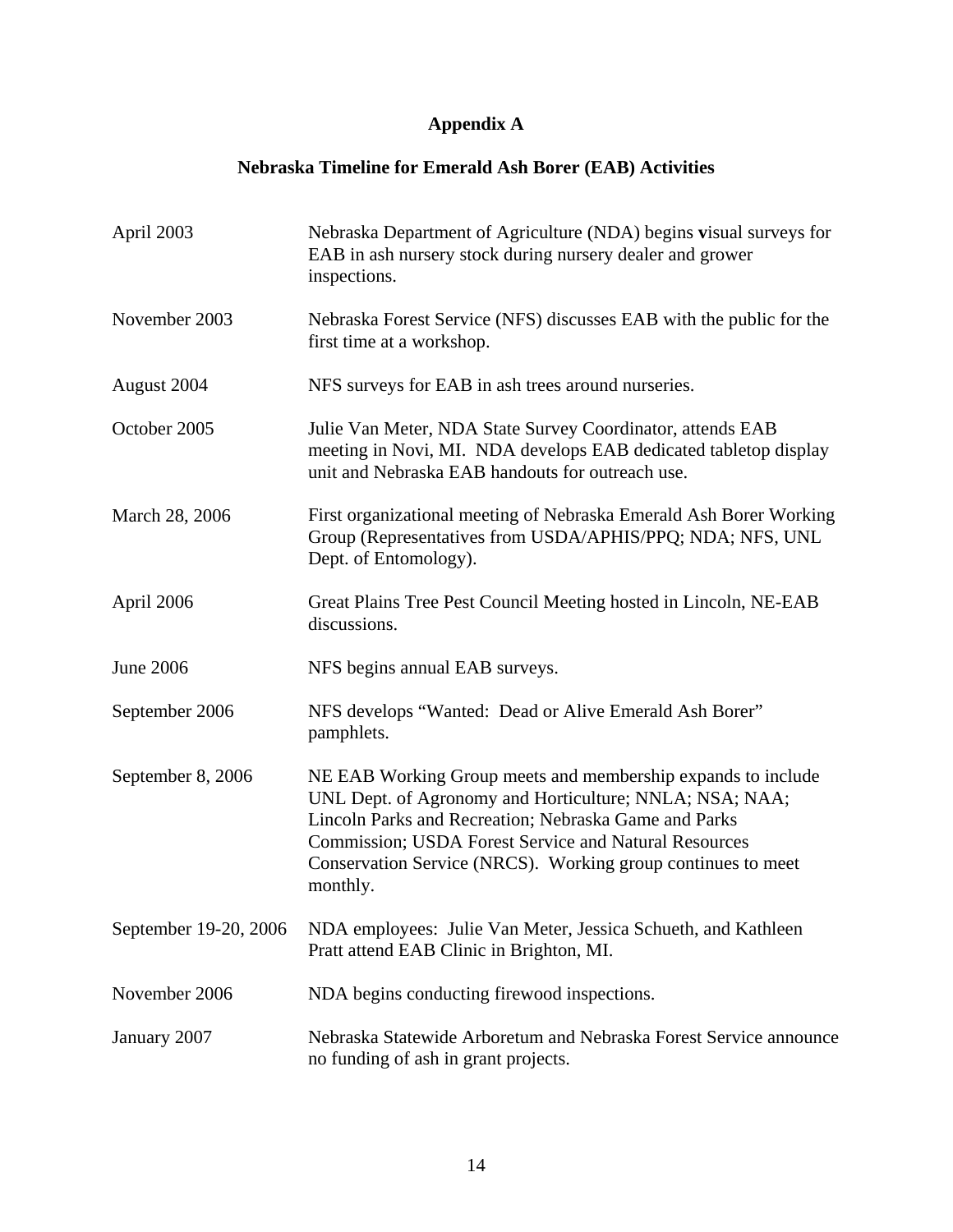## **Appendix A**

## **Nebraska Timeline for Emerald Ash Borer (EAB) Activities**

| April 2003            | Nebraska Department of Agriculture (NDA) begins visual surveys for<br>EAB in ash nursery stock during nursery dealer and grower<br>inspections.                                                                                                                                                                       |
|-----------------------|-----------------------------------------------------------------------------------------------------------------------------------------------------------------------------------------------------------------------------------------------------------------------------------------------------------------------|
| November 2003         | Nebraska Forest Service (NFS) discusses EAB with the public for the<br>first time at a workshop.                                                                                                                                                                                                                      |
| August 2004           | NFS surveys for EAB in ash trees around nurseries.                                                                                                                                                                                                                                                                    |
| October 2005          | Julie Van Meter, NDA State Survey Coordinator, attends EAB<br>meeting in Novi, MI. NDA develops EAB dedicated tabletop display<br>unit and Nebraska EAB handouts for outreach use.                                                                                                                                    |
| March 28, 2006        | First organizational meeting of Nebraska Emerald Ash Borer Working<br>Group (Representatives from USDA/APHIS/PPQ; NDA; NFS, UNL<br>Dept. of Entomology).                                                                                                                                                              |
| April 2006            | Great Plains Tree Pest Council Meeting hosted in Lincoln, NE-EAB<br>discussions.                                                                                                                                                                                                                                      |
| <b>June 2006</b>      | NFS begins annual EAB surveys.                                                                                                                                                                                                                                                                                        |
| September 2006        | NFS develops "Wanted: Dead or Alive Emerald Ash Borer"<br>pamphlets.                                                                                                                                                                                                                                                  |
| September 8, 2006     | NE EAB Working Group meets and membership expands to include<br>UNL Dept. of Agronomy and Horticulture; NNLA; NSA; NAA;<br>Lincoln Parks and Recreation; Nebraska Game and Parks<br>Commission; USDA Forest Service and Natural Resources<br>Conservation Service (NRCS). Working group continues to meet<br>monthly. |
| September 19-20, 2006 | NDA employees: Julie Van Meter, Jessica Schueth, and Kathleen<br>Pratt attend EAB Clinic in Brighton, MI.                                                                                                                                                                                                             |
| November 2006         | NDA begins conducting firewood inspections.                                                                                                                                                                                                                                                                           |
| January 2007          | Nebraska Statewide Arboretum and Nebraska Forest Service announce<br>no funding of ash in grant projects.                                                                                                                                                                                                             |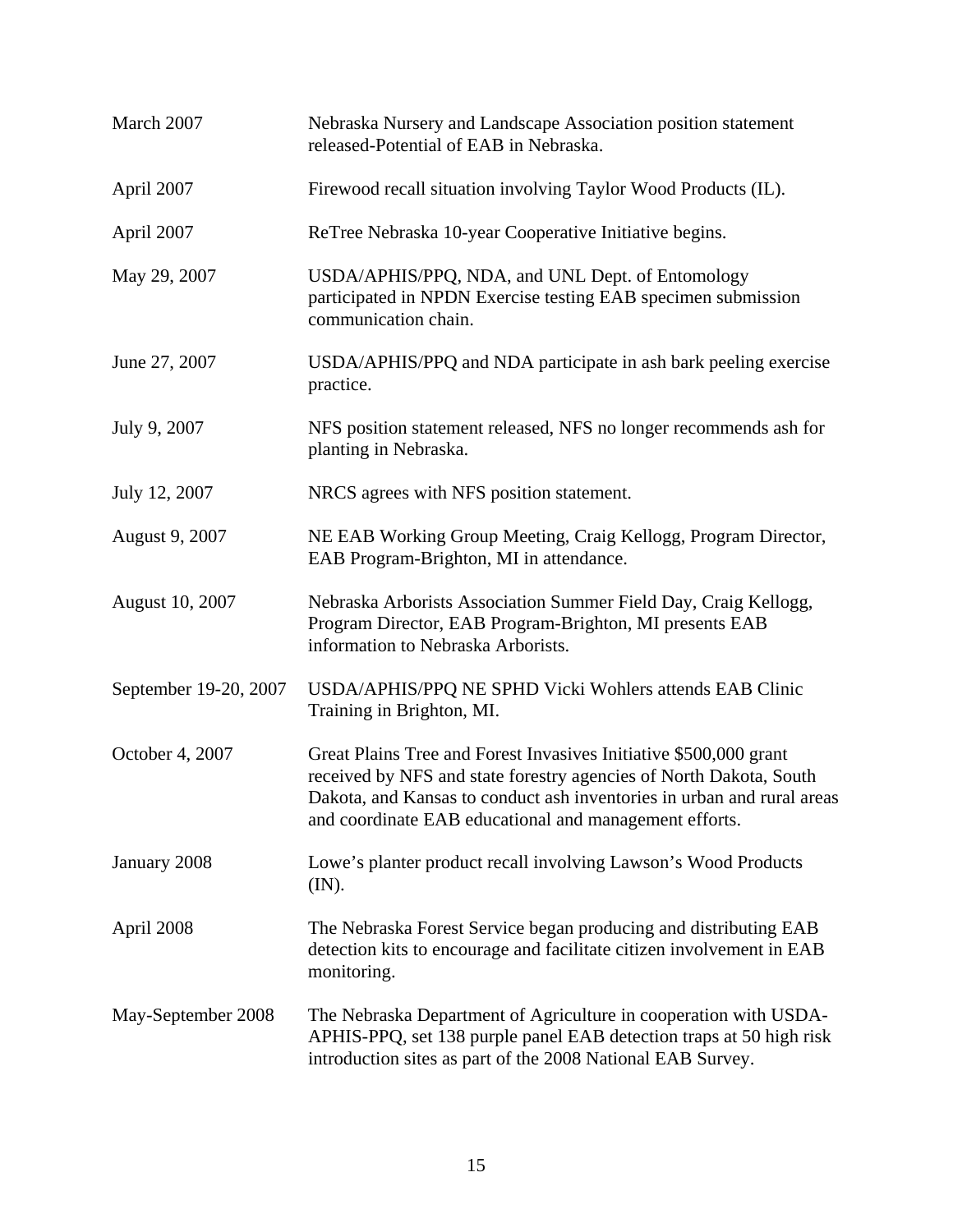| March 2007            | Nebraska Nursery and Landscape Association position statement<br>released-Potential of EAB in Nebraska.                                                                                                                                                                     |
|-----------------------|-----------------------------------------------------------------------------------------------------------------------------------------------------------------------------------------------------------------------------------------------------------------------------|
| April 2007            | Firewood recall situation involving Taylor Wood Products (IL).                                                                                                                                                                                                              |
| April 2007            | ReTree Nebraska 10-year Cooperative Initiative begins.                                                                                                                                                                                                                      |
| May 29, 2007          | USDA/APHIS/PPQ, NDA, and UNL Dept. of Entomology<br>participated in NPDN Exercise testing EAB specimen submission<br>communication chain.                                                                                                                                   |
| June 27, 2007         | USDA/APHIS/PPQ and NDA participate in ash bark peeling exercise<br>practice.                                                                                                                                                                                                |
| July 9, 2007          | NFS position statement released, NFS no longer recommends ash for<br>planting in Nebraska.                                                                                                                                                                                  |
| July 12, 2007         | NRCS agrees with NFS position statement.                                                                                                                                                                                                                                    |
| August 9, 2007        | NE EAB Working Group Meeting, Craig Kellogg, Program Director,<br>EAB Program-Brighton, MI in attendance.                                                                                                                                                                   |
| August 10, 2007       | Nebraska Arborists Association Summer Field Day, Craig Kellogg,<br>Program Director, EAB Program-Brighton, MI presents EAB<br>information to Nebraska Arborists.                                                                                                            |
| September 19-20, 2007 | USDA/APHIS/PPQ NE SPHD Vicki Wohlers attends EAB Clinic<br>Training in Brighton, MI.                                                                                                                                                                                        |
| October 4, 2007       | Great Plains Tree and Forest Invasives Initiative \$500,000 grant<br>received by NFS and state forestry agencies of North Dakota, South<br>Dakota, and Kansas to conduct ash inventories in urban and rural areas<br>and coordinate EAB educational and management efforts. |
| January 2008          | Lowe's planter product recall involving Lawson's Wood Products<br>(IN).                                                                                                                                                                                                     |
| April 2008            | The Nebraska Forest Service began producing and distributing EAB<br>detection kits to encourage and facilitate citizen involvement in EAB<br>monitoring.                                                                                                                    |
| May-September 2008    | The Nebraska Department of Agriculture in cooperation with USDA-<br>APHIS-PPQ, set 138 purple panel EAB detection traps at 50 high risk<br>introduction sites as part of the 2008 National EAB Survey.                                                                      |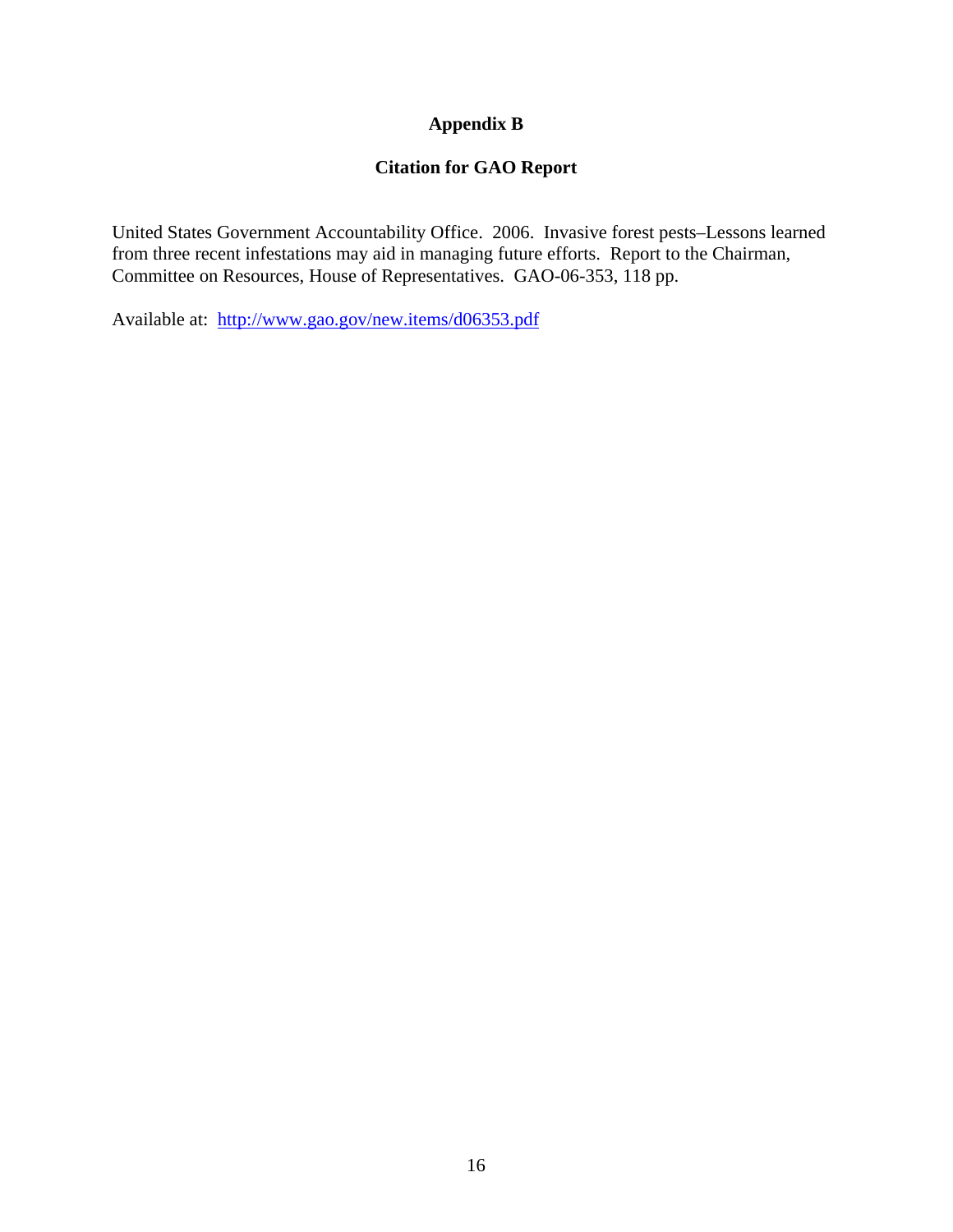## **Appendix B**

## **Citation for GAO Report**

United States Government Accountability Office. 2006. Invasive forest pests–Lessons learned from three recent infestations may aid in managing future efforts. Report to the Chairman, Committee on Resources, House of Representatives. GAO-06-353, 118 pp.

Available at: http://www.gao.gov/new.items/d06353.pdf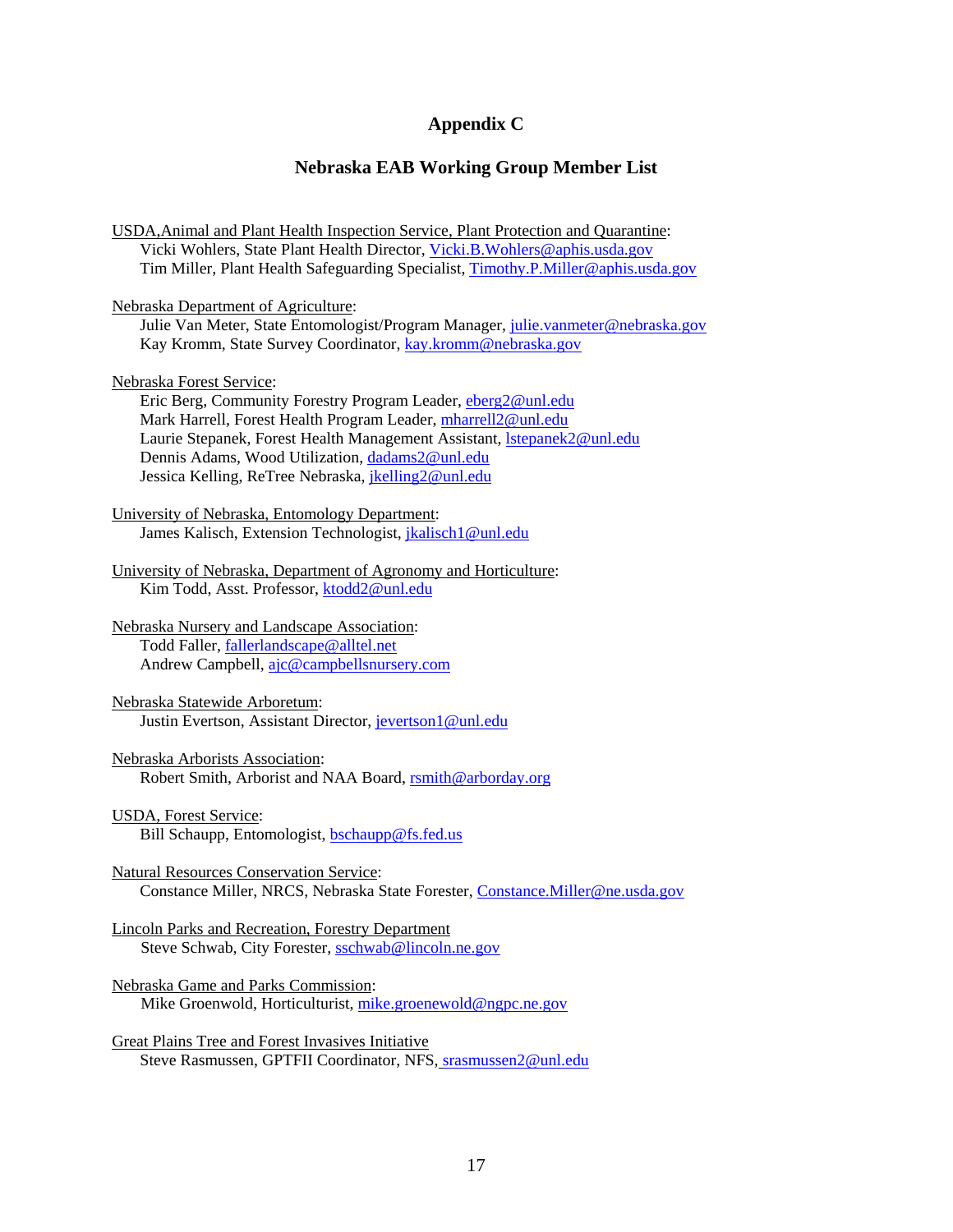#### **Appendix C**

#### **Nebraska EAB Working Group Member List**

USDA,Animal and Plant Health Inspection Service, Plant Protection and Quarantine: Vicki Wohlers, State Plant Health Director, Vicki.B.Wohlers@aphis.usda.gov Tim Miller, Plant Health Safeguarding Specialist, Timothy.P.Miller@aphis.usda.gov

Nebraska Department of Agriculture:

Julie Van Meter, State Entomologist/Program Manager, julie.vanmeter@nebraska.gov Kay Kromm, State Survey Coordinator, kay.kromm@nebraska.gov

Nebraska Forest Service:

Eric Berg, Community Forestry Program Leader, eberg2@unl.edu Mark Harrell, Forest Health Program Leader, mharrell2@unl.edu Laurie Stepanek, Forest Health Management Assistant, *Istepanek* 2@unl.edu Dennis Adams, Wood Utilization, dadams2@unl.edu Jessica Kelling, ReTree Nebraska, jkelling2@unl.edu

University of Nebraska, Entomology Department: James Kalisch, Extension Technologist, jkalisch1@unl.edu

University of Nebraska, Department of Agronomy and Horticulture: Kim Todd, Asst. Professor, ktodd2@unl.edu

Nebraska Nursery and Landscape Association: Todd Faller, fallerlandscape@alltel.net Andrew Campbell, ajc@campbellsnursery.com

Nebraska Statewide Arboretum: Justin Evertson, Assistant Director, jevertson1@unl.edu

Nebraska Arborists Association:

Robert Smith, Arborist and NAA Board, rsmith@arborday.org

USDA, Forest Service: Bill Schaupp, Entomologist, **bschaupp@fs.fed.us** 

Natural Resources Conservation Service: Constance Miller, NRCS, Nebraska State Forester, Constance.Miller@ne.usda.gov

Lincoln Parks and Recreation, Forestry Department Steve Schwab, City Forester, sschwab@lincoln.ne.gov

Nebraska Game and Parks Commission: Mike Groenwold, Horticulturist, mike.groenewold@ngpc.ne.gov

Great Plains Tree and Forest Invasives Initiative Steve Rasmussen, GPTFII Coordinator, NFS, srasmussen2@unl.edu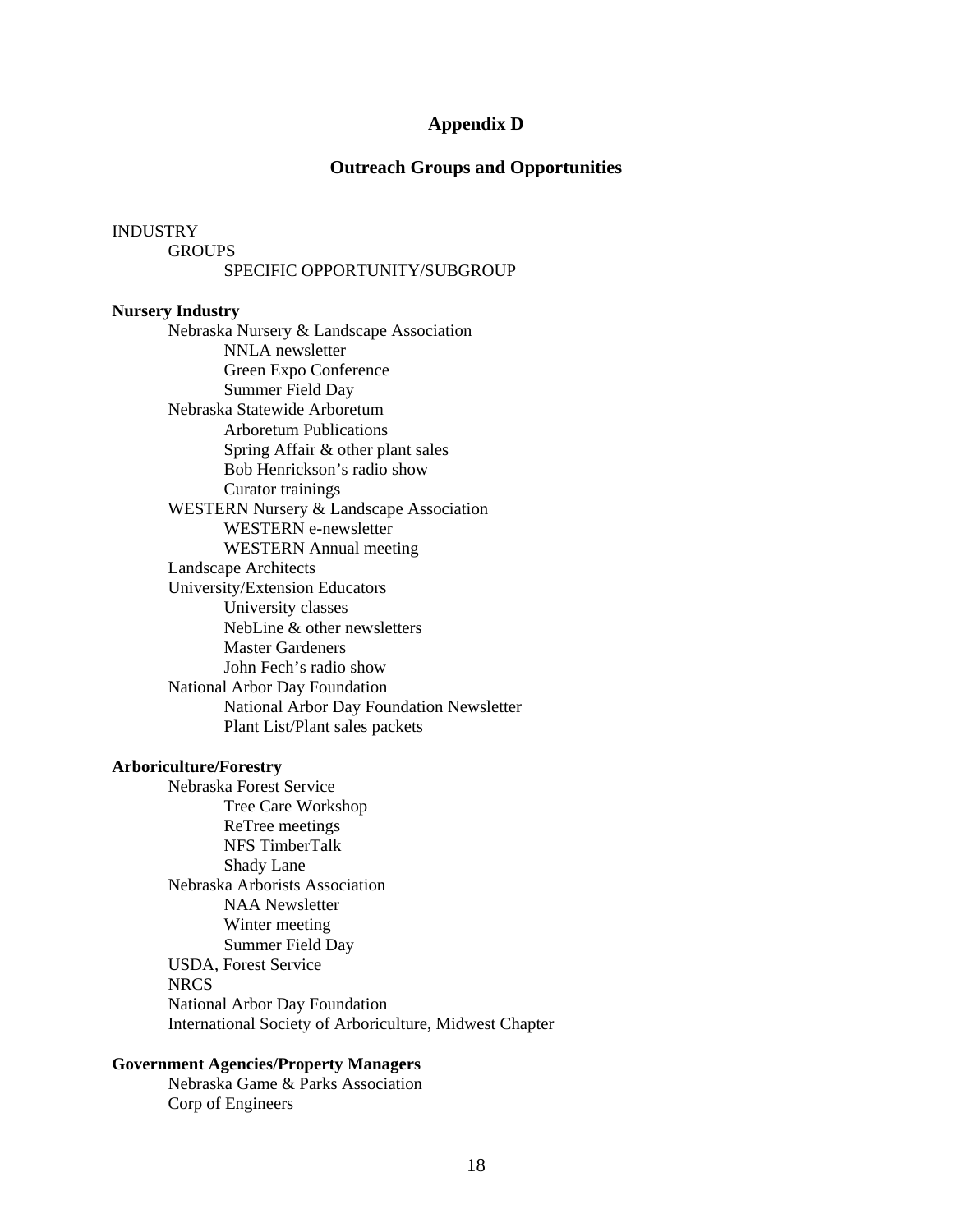#### **Appendix D**

#### **Outreach Groups and Opportunities**

#### INDUSTRY

GROUPS

#### SPECIFIC OPPORTUNITY/SUBGROUP

#### **Nursery Industry**

 Nebraska Nursery & Landscape Association NNLA newsletter Green Expo Conference Summer Field Day Nebraska Statewide Arboretum Arboretum Publications Spring Affair & other plant sales Bob Henrickson's radio show Curator trainings WESTERN Nursery & Landscape Association WESTERN e-newsletter WESTERN Annual meeting Landscape Architects University/Extension Educators University classes NebLine & other newsletters Master Gardeners John Fech's radio show National Arbor Day Foundation National Arbor Day Foundation Newsletter Plant List/Plant sales packets

#### **Arboriculture/Forestry**

Nebraska Forest Service Tree Care Workshop ReTree meetings NFS TimberTalk Shady Lane Nebraska Arborists Association NAA Newsletter Winter meeting Summer Field Day USDA, Forest Service **NRCS** National Arbor Day Foundation International Society of Arboriculture, Midwest Chapter

#### **Government Agencies/Property Managers**

 Nebraska Game & Parks Association Corp of Engineers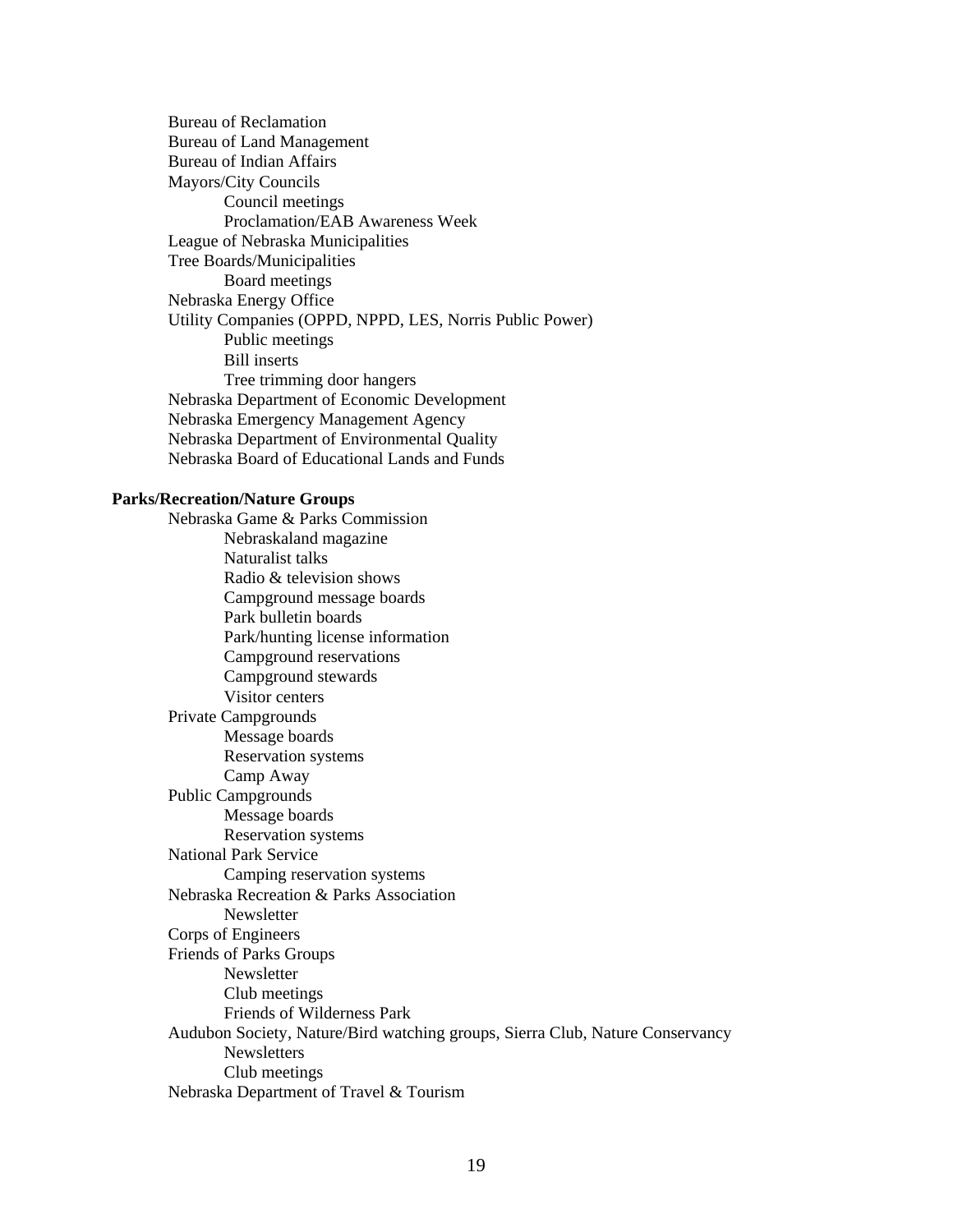Bureau of Reclamation Bureau of Land Management Bureau of Indian Affairs Mayors/City Councils Council meetings Proclamation/EAB Awareness Week League of Nebraska Municipalities Tree Boards/Municipalities Board meetings Nebraska Energy Office Utility Companies (OPPD, NPPD, LES, Norris Public Power) Public meetings Bill inserts Tree trimming door hangers Nebraska Department of Economic Development Nebraska Emergency Management Agency Nebraska Department of Environmental Quality Nebraska Board of Educational Lands and Funds

#### **Parks/Recreation/Nature Groups**

 Nebraska Game & Parks Commission Nebraskaland magazine Naturalist talks Radio & television shows Campground message boards Park bulletin boards Park/hunting license information Campground reservations Campground stewards Visitor centers Private Campgrounds Message boards Reservation systems Camp Away Public Campgrounds Message boards Reservation systems National Park Service Camping reservation systems Nebraska Recreation & Parks Association Newsletter Corps of Engineers Friends of Parks Groups Newsletter Club meetings Friends of Wilderness Park Audubon Society, Nature/Bird watching groups, Sierra Club, Nature Conservancy **Newsletters**  Club meetings Nebraska Department of Travel & Tourism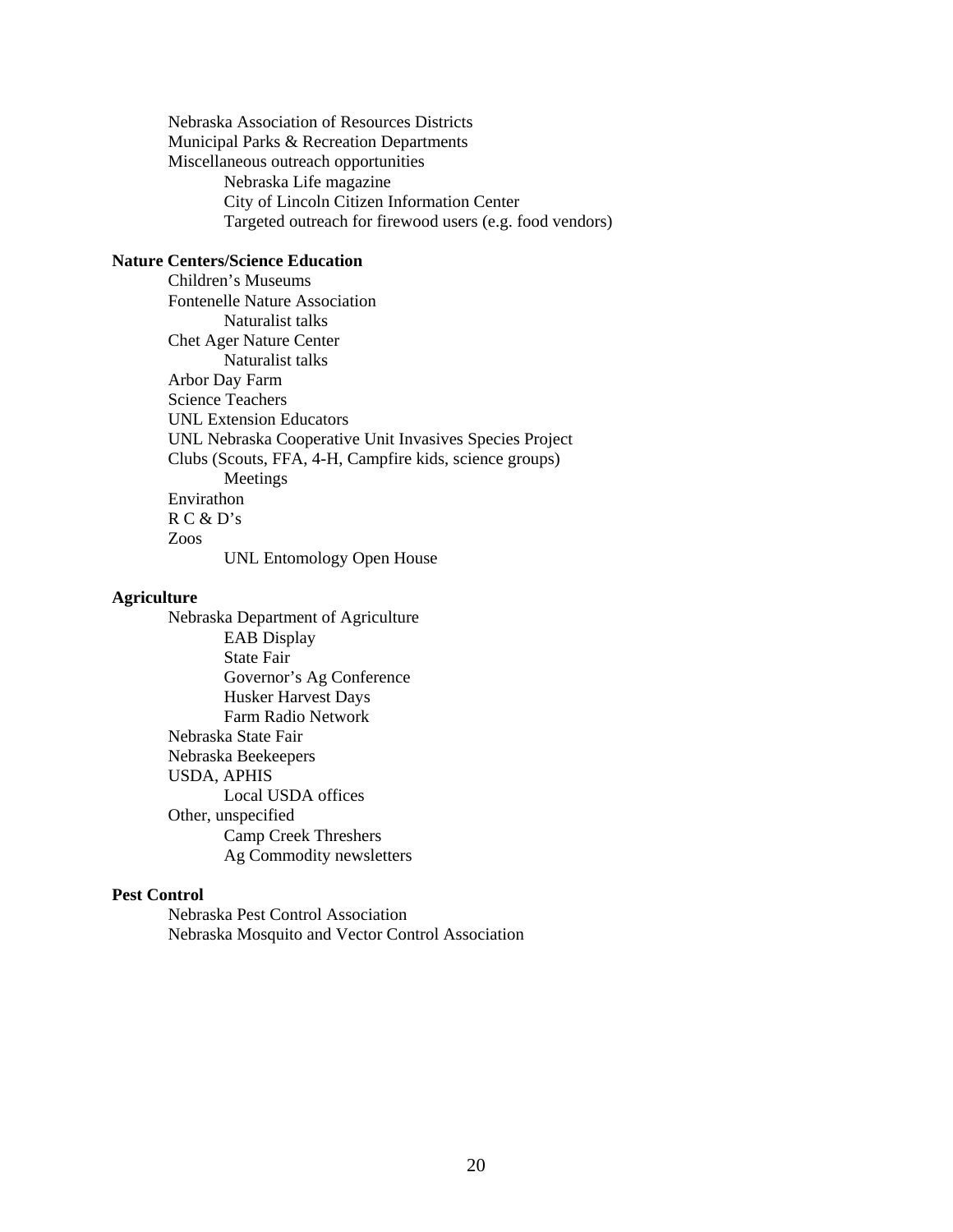Nebraska Association of Resources Districts Municipal Parks & Recreation Departments Miscellaneous outreach opportunities Nebraska Life magazine City of Lincoln Citizen Information Center Targeted outreach for firewood users (e.g. food vendors)

#### **Nature Centers/Science Education**

 Children's Museums Fontenelle Nature Association Naturalist talks Chet Ager Nature Center Naturalist talks Arbor Day Farm Science Teachers UNL Extension Educators UNL Nebraska Cooperative Unit Invasives Species Project Clubs (Scouts, FFA, 4-H, Campfire kids, science groups) Meetings Envirathon R C & D's Zoos UNL Entomology Open House

#### **Agriculture**

 Nebraska Department of Agriculture EAB Display State Fair Governor's Ag Conference Husker Harvest Days Farm Radio Network Nebraska State Fair Nebraska Beekeepers USDA, APHIS Local USDA offices Other, unspecified Camp Creek Threshers Ag Commodity newsletters

#### **Pest Control**

 Nebraska Pest Control Association Nebraska Mosquito and Vector Control Association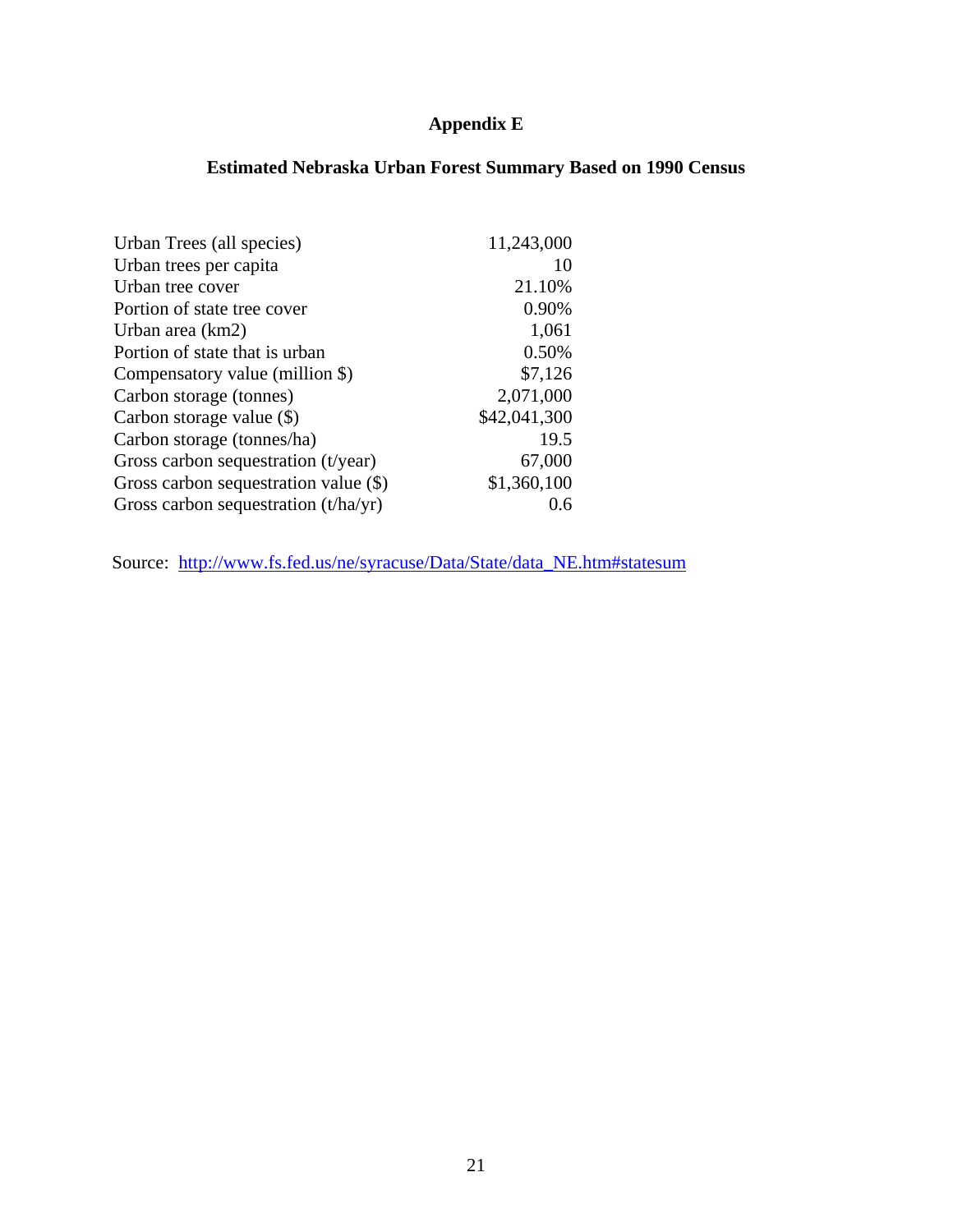## **Appendix E**

## **Estimated Nebraska Urban Forest Summary Based on 1990 Census**

| Urban Trees (all species)               | 11,243,000   |
|-----------------------------------------|--------------|
| Urban trees per capita                  | 10           |
| Urban tree cover                        | 21.10%       |
| Portion of state tree cover             | 0.90%        |
| Urban area (km2)                        | 1,061        |
| Portion of state that is urban          | 0.50%        |
| Compensatory value (million \$)         | \$7,126      |
| Carbon storage (tonnes)                 | 2,071,000    |
| Carbon storage value $(\$)$             | \$42,041,300 |
| Carbon storage (tonnes/ha)              | 19.5         |
| Gross carbon sequestration $(t/\gamma)$ | 67,000       |
| Gross carbon sequestration value (\$)   | \$1,360,100  |
| Gross carbon sequestration $(t/ha/yr)$  | 0.6          |

Source: http://www.fs.fed.us/ne/syracuse/Data/State/data\_NE.htm#statesum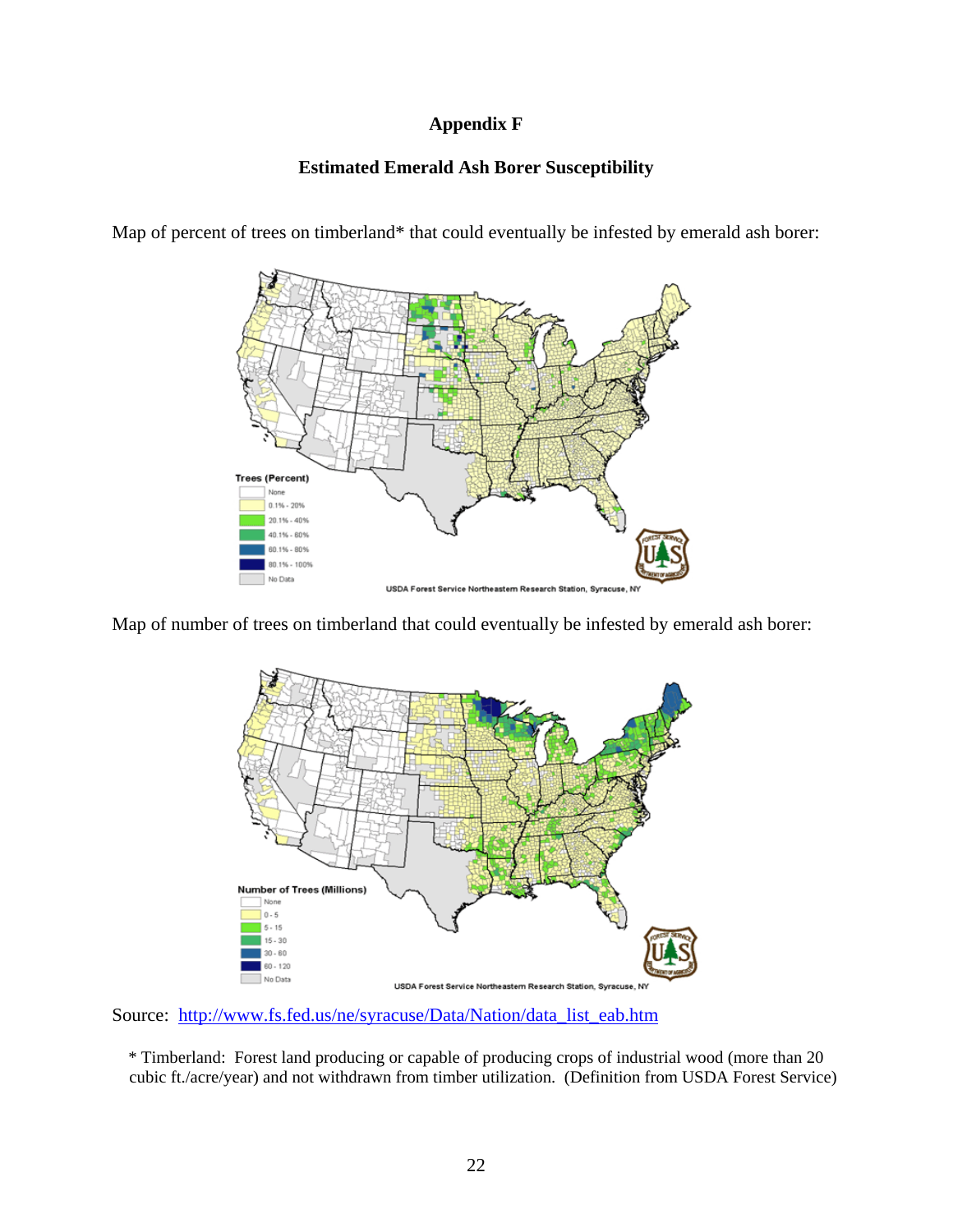### **Appendix F**

### **Estimated Emerald Ash Borer Susceptibility**



Map of percent of trees on timberland\* that could eventually be infested by emerald ash borer:

Map of number of trees on timberland that could eventually be infested by emerald ash borer:



Source: http://www.fs.fed.us/ne/syracuse/Data/Nation/data\_list\_eab.htm

\* Timberland: Forest land producing or capable of producing crops of industrial wood (more than 20 cubic ft./acre/year) and not withdrawn from timber utilization. (Definition from USDA Forest Service)